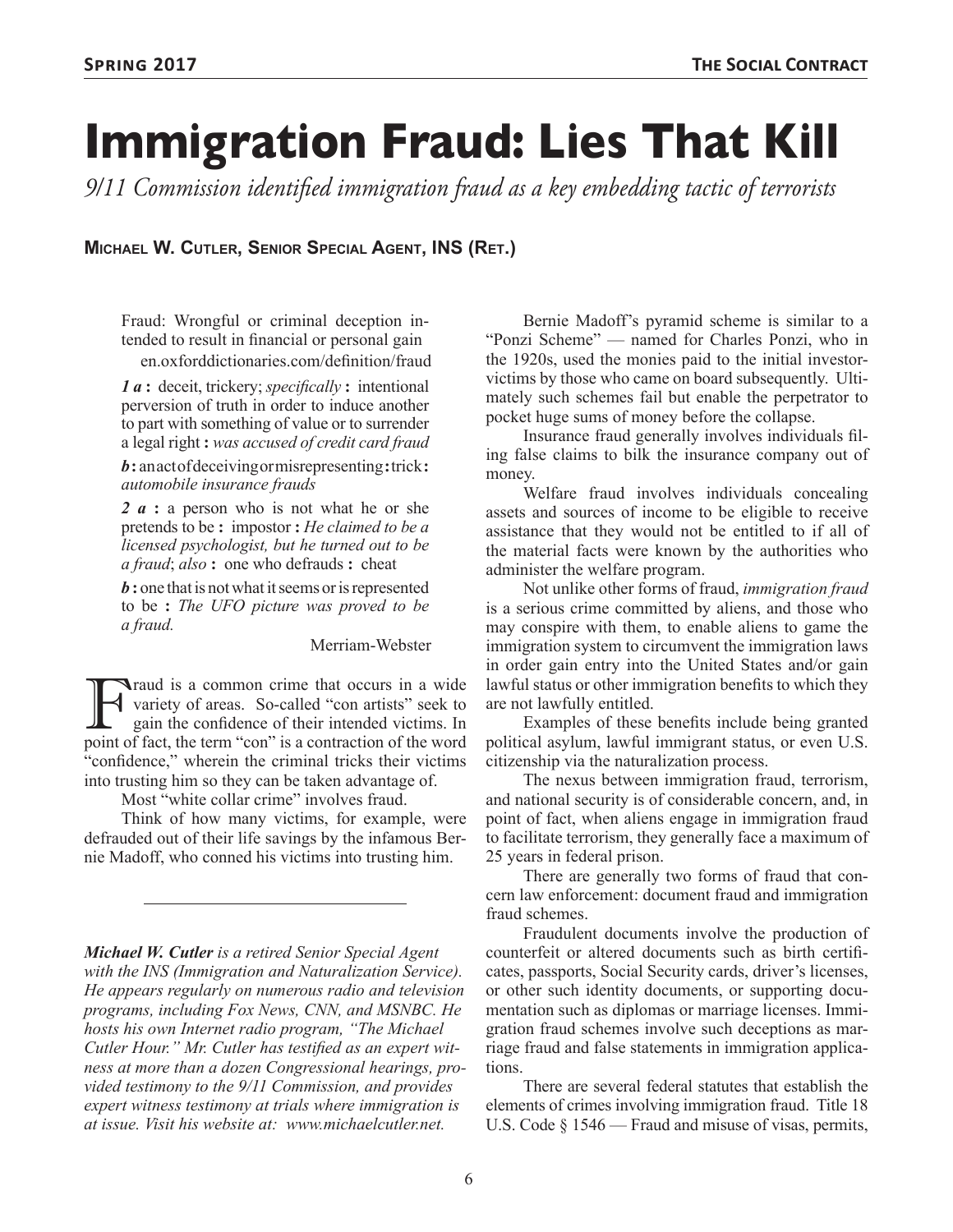# **Immigration Fraud: Lies That Kill**

*9/11 Commission identified immigration fraud as a key embedding tactic of terrorists*

**Michael W. Cutler, Senior Special Agent, INS (Ret.)**

Fraud: Wrongful or criminal deception intended to result in financial or personal gain en.oxforddictionaries.com/definition/fraud

*1 a* **:** deceit, trickery; *specifically* **:** intentional perversion of truth in order to induce another to part with something of value or to surrender a legal right **:** *was accused of credit card fraud* 

*b* **:** an act of deceiving or misrepresenting**:**trick**:** *automobile insurance frauds*

*2 a* **:** a person who is not what he or she pretends to be **:** impostor **:** *He claimed to be a licensed psychologist, but he turned out to be a fraud*; *also* **:** one who defrauds **:** cheat

*b* **:** one that is not what it seems or is represented to be **:** *The UFO picture was proved to be a fraud.*

Merriam-Webster

Traud is a common crime that occurs in a wide<br>variety of areas. So-called "con artists" seek to<br>gain the confidence of their intended victims. In<br>point of fact, the term "con" is a contraction of the word variety of areas. So-called "con artists" seek to gain the confidence of their intended victims. In point of fact, the term "con" is a contraction of the word "confidence," wherein the criminal tricks their victims into trusting him so they can be taken advantage of.

Most "white collar crime" involves fraud.

Think of how many victims, for example, were defrauded out of their life savings by the infamous Bernie Madoff, who conned his victims into trusting him.

*Michael W. Cutler is a retired Senior Special Agent with the INS (Immigration and Naturalization Service). He appears regularly on numerous radio and television programs, including Fox News, CNN, and MSNBC. He hosts his own Internet radio program, "The Michael Cutler Hour." Mr. Cutler has testified as an expert witness at more than a dozen Congressional hearings, provided testimony to the 9/11 Commission, and provides expert witness testimony at trials where immigration is at issue. Visit his website at: www.michaelcutler.net.*

Bernie Madoff's pyramid scheme is similar to a "Ponzi Scheme" — named for Charles Ponzi, who in the 1920s, used the monies paid to the initial investorvictims by those who came on board subsequently. Ultimately such schemes fail but enable the perpetrator to pocket huge sums of money before the collapse.

Insurance fraud generally involves individuals filing false claims to bilk the insurance company out of money.

Welfare fraud involves individuals concealing assets and sources of income to be eligible to receive assistance that they would not be entitled to if all of the material facts were known by the authorities who administer the welfare program.

Not unlike other forms of fraud, *immigration fraud* is a serious crime committed by aliens, and those who may conspire with them, to enable aliens to game the immigration system to circumvent the immigration laws in order gain entry into the United States and/or gain lawful status or other immigration benefits to which they are not lawfully entitled.

Examples of these benefits include being granted political asylum, lawful immigrant status, or even U.S. citizenship via the naturalization process.

The nexus between immigration fraud, terrorism, and national security is of considerable concern, and, in point of fact, when aliens engage in immigration fraud to facilitate terrorism, they generally face a maximum of 25 years in federal prison.

There are generally two forms of fraud that concern law enforcement: document fraud and immigration fraud schemes.

Fraudulent documents involve the production of counterfeit or altered documents such as birth certificates, passports, Social Security cards, driver's licenses, or other such identity documents, or supporting documentation such as diplomas or marriage licenses. Immigration fraud schemes involve such deceptions as marriage fraud and false statements in immigration applications.

There are several federal statutes that establish the elements of crimes involving immigration fraud. Title 18 U.S. Code § 1546 — Fraud and misuse of visas, permits,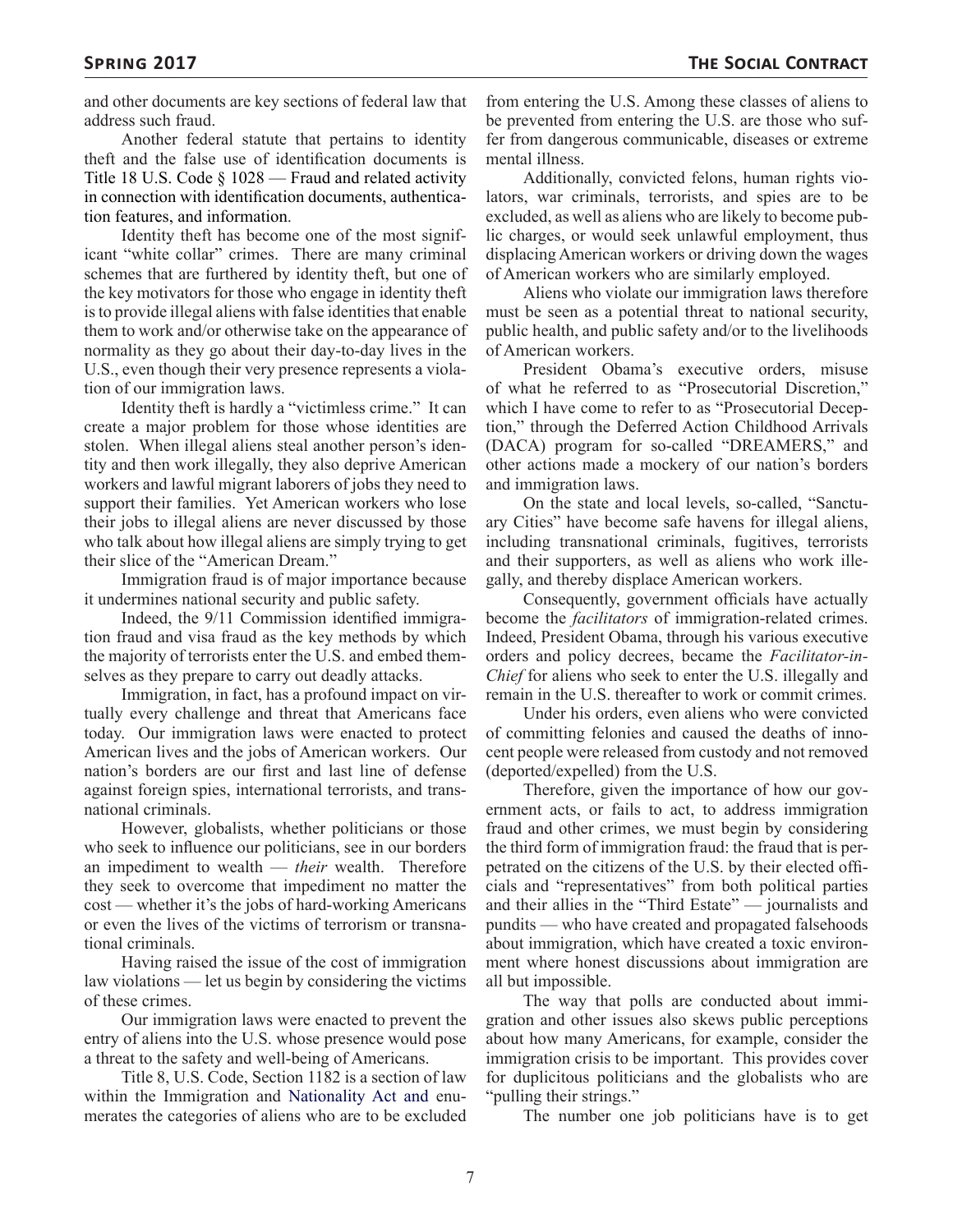and other documents are key sections of federal law that address such fraud.

Another federal statute that pertains to identity theft and the false use of identification documents is Title 18 U.S. Code § 1028 — Fraud and related activity in connection with identification documents, authentication features, and information.

Identity theft has become one of the most significant "white collar" crimes. There are many criminal schemes that are furthered by identity theft, but one of the key motivators for those who engage in identity theft is to provide illegal aliens with false identities that enable them to work and/or otherwise take on the appearance of normality as they go about their day-to-day lives in the U.S., even though their very presence represents a violation of our immigration laws.

Identity theft is hardly a "victimless crime." It can create a major problem for those whose identities are stolen. When illegal aliens steal another person's identity and then work illegally, they also deprive American workers and lawful migrant laborers of jobs they need to support their families. Yet American workers who lose their jobs to illegal aliens are never discussed by those who talk about how illegal aliens are simply trying to get their slice of the "American Dream."

Immigration fraud is of major importance because it undermines national security and public safety.

Indeed, the 9/11 Commission identified immigration fraud and visa fraud as the key methods by which the majority of terrorists enter the U.S. and embed themselves as they prepare to carry out deadly attacks.

Immigration, in fact, has a profound impact on virtually every challenge and threat that Americans face today. Our immigration laws were enacted to protect American lives and the jobs of American workers. Our nation's borders are our first and last line of defense against foreign spies, international terrorists, and transnational criminals.

However, globalists, whether politicians or those who seek to influence our politicians, see in our borders an impediment to wealth — *their* wealth. Therefore they seek to overcome that impediment no matter the cost — whether it's the jobs of hard-working Americans or even the lives of the victims of terrorism or transnational criminals.

Having raised the issue of the cost of immigration law violations — let us begin by considering the victims of these crimes.

Our immigration laws were enacted to prevent the entry of aliens into the U.S. whose presence would pose a threat to the safety and well-being of Americans.

Title 8, U.S. Code, Section 1182 is a section of law within the Immigration and Nationality Act and enumerates the categories of aliens who are to be excluded from entering the U.S. Among these classes of aliens to be prevented from entering the U.S. are those who suffer from dangerous communicable, diseases or extreme mental illness.

Additionally, convicted felons, human rights violators, war criminals, terrorists, and spies are to be excluded, as well as aliens who are likely to become public charges, or would seek unlawful employment, thus displacing American workers or driving down the wages of American workers who are similarly employed.

Aliens who violate our immigration laws therefore must be seen as a potential threat to national security, public health, and public safety and/or to the livelihoods of American workers.

President Obama's executive orders, misuse of what he referred to as "Prosecutorial Discretion," which I have come to refer to as "Prosecutorial Deception," through the Deferred Action Childhood Arrivals (DACA) program for so-called "DREAMERS," and other actions made a mockery of our nation's borders and immigration laws.

On the state and local levels, so-called, "Sanctuary Cities" have become safe havens for illegal aliens, including transnational criminals, fugitives, terrorists and their supporters, as well as aliens who work illegally, and thereby displace American workers.

Consequently, government officials have actually become the *facilitators* of immigration-related crimes. Indeed, President Obama, through his various executive orders and policy decrees, became the *Facilitator-in-Chief* for aliens who seek to enter the U.S. illegally and remain in the U.S. thereafter to work or commit crimes.

Under his orders, even aliens who were convicted of committing felonies and caused the deaths of innocent people were released from custody and not removed (deported/expelled) from the U.S.

Therefore, given the importance of how our government acts, or fails to act, to address immigration fraud and other crimes, we must begin by considering the third form of immigration fraud: the fraud that is perpetrated on the citizens of the U.S. by their elected officials and "representatives" from both political parties and their allies in the "Third Estate" — journalists and pundits — who have created and propagated falsehoods about immigration, which have created a toxic environment where honest discussions about immigration are all but impossible.

The way that polls are conducted about immigration and other issues also skews public perceptions about how many Americans, for example, consider the immigration crisis to be important. This provides cover for duplicitous politicians and the globalists who are "pulling their strings."

The number one job politicians have is to get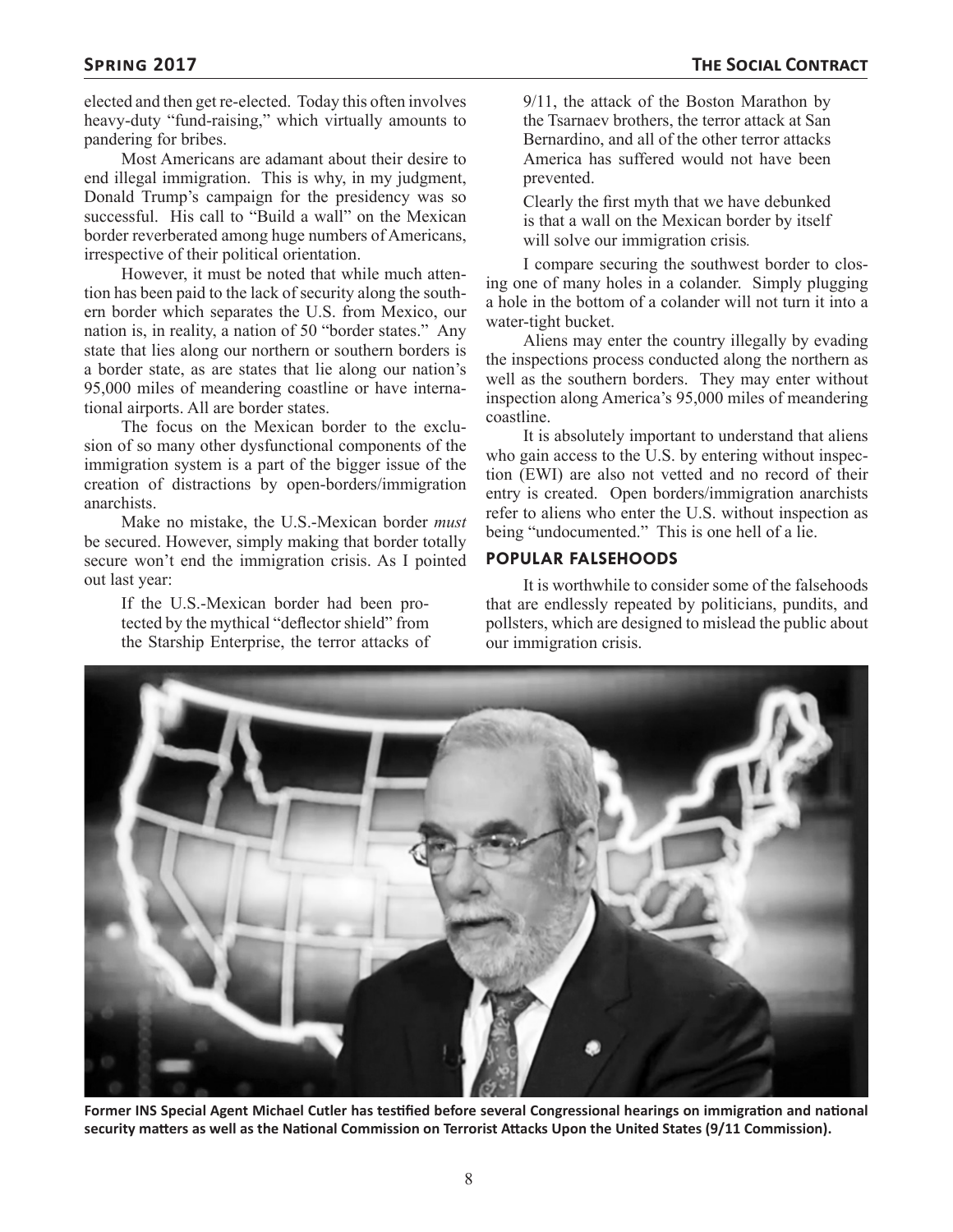elected and then get re-elected. Today this often involves heavy-duty "fund-raising," which virtually amounts to pandering for bribes.

Most Americans are adamant about their desire to end illegal immigration. This is why, in my judgment, Donald Trump's campaign for the presidency was so successful. His call to "Build a wall" on the Mexican border reverberated among huge numbers of Americans, irrespective of their political orientation.

However, it must be noted that while much attention has been paid to the lack of security along the southern border which separates the U.S. from Mexico, our nation is, in reality, a nation of 50 "border states." Any state that lies along our northern or southern borders is a border state, as are states that lie along our nation's 95,000 miles of meandering coastline or have international airports. All are border states.

The focus on the Mexican border to the exclusion of so many other dysfunctional components of the immigration system is a part of the bigger issue of the creation of distractions by open-borders/immigration anarchists.

Make no mistake, the U.S.-Mexican border *must* be secured. However, simply making that border totally secure won't end the immigration crisis. As I pointed out last year:

If the U.S.-Mexican border had been protected by the mythical "deflector shield" from the Starship Enterprise, the terror attacks of

9/11, the attack of the Boston Marathon by the Tsarnaev brothers, the terror attack at San Bernardino, and all of the other terror attacks America has suffered would not have been prevented.

Clearly the first myth that we have debunked is that a wall on the Mexican border by itself will solve our immigration crisis*.*

I compare securing the southwest border to closing one of many holes in a colander. Simply plugging a hole in the bottom of a colander will not turn it into a water-tight bucket.

Aliens may enter the country illegally by evading the inspections process conducted along the northern as well as the southern borders. They may enter without inspection along America's 95,000 miles of meandering coastline.

It is absolutely important to understand that aliens who gain access to the U.S. by entering without inspection (EWI) are also not vetted and no record of their entry is created. Open borders/immigration anarchists refer to aliens who enter the U.S. without inspection as being "undocumented." This is one hell of a lie.

#### **POPULAR FALSEHOODS**

It is worthwhile to consider some of the falsehoods that are endlessly repeated by politicians, pundits, and pollsters, which are designed to mislead the public about our immigration crisis.



**Former INS Special Agent Michael Cutler has testified before several Congressional hearings on immigration and national security matters as well as the National Commission on Terrorist Attacks Upon the United States (9/11 Commission).**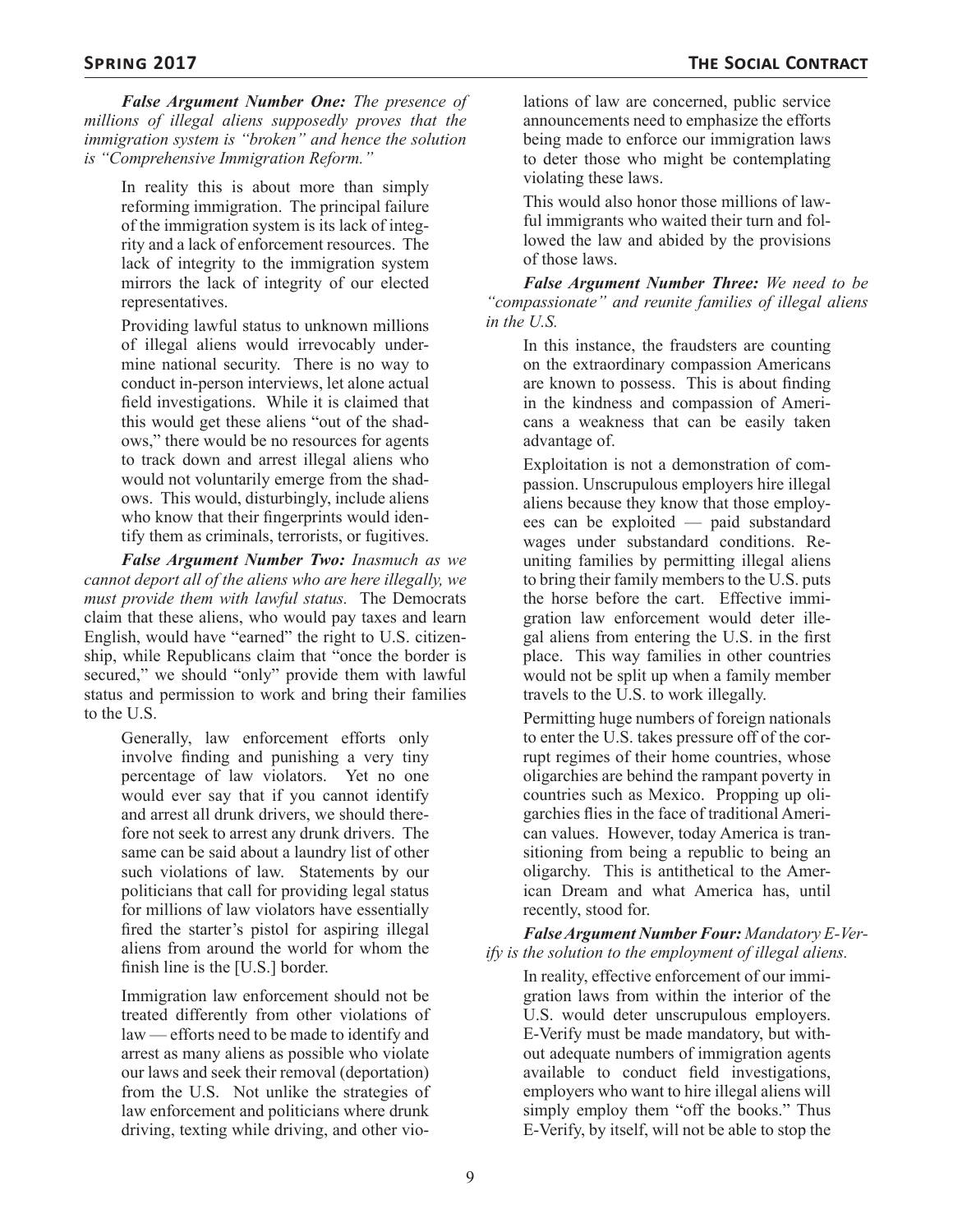*False Argument Number One: The presence of millions of illegal aliens supposedly proves that the immigration system is "broken" and hence the solution is "Comprehensive Immigration Reform."*

In reality this is about more than simply reforming immigration. The principal failure of the immigration system is its lack of integrity and a lack of enforcement resources. The lack of integrity to the immigration system mirrors the lack of integrity of our elected representatives.

Providing lawful status to unknown millions of illegal aliens would irrevocably undermine national security. There is no way to conduct in-person interviews, let alone actual field investigations. While it is claimed that this would get these aliens "out of the shadows," there would be no resources for agents to track down and arrest illegal aliens who would not voluntarily emerge from the shadows. This would, disturbingly, include aliens who know that their fingerprints would identify them as criminals, terrorists, or fugitives.

*False Argument Number Two: Inasmuch as we cannot deport all of the aliens who are here illegally, we must provide them with lawful status.* The Democrats claim that these aliens, who would pay taxes and learn English, would have "earned" the right to U.S. citizenship, while Republicans claim that "once the border is secured," we should "only" provide them with lawful status and permission to work and bring their families to the U.S.

Generally, law enforcement efforts only involve finding and punishing a very tiny percentage of law violators. Yet no one would ever say that if you cannot identify and arrest all drunk drivers, we should therefore not seek to arrest any drunk drivers. The same can be said about a laundry list of other such violations of law. Statements by our politicians that call for providing legal status for millions of law violators have essentially fired the starter's pistol for aspiring illegal aliens from around the world for whom the finish line is the [U.S.] border.

Immigration law enforcement should not be treated differently from other violations of law — efforts need to be made to identify and arrest as many aliens as possible who violate our laws and seek their removal (deportation) from the U.S. Not unlike the strategies of law enforcement and politicians where drunk driving, texting while driving, and other vio-

lations of law are concerned, public service announcements need to emphasize the efforts being made to enforce our immigration laws to deter those who might be contemplating violating these laws.

This would also honor those millions of lawful immigrants who waited their turn and followed the law and abided by the provisions of those laws.

*False Argument Number Three: We need to be "compassionate" and reunite families of illegal aliens in the U.S.*

In this instance, the fraudsters are counting on the extraordinary compassion Americans are known to possess. This is about finding in the kindness and compassion of Americans a weakness that can be easily taken advantage of.

Exploitation is not a demonstration of compassion. Unscrupulous employers hire illegal aliens because they know that those employees can be exploited — paid substandard wages under substandard conditions. Reuniting families by permitting illegal aliens to bring their family members to the U.S. puts the horse before the cart. Effective immigration law enforcement would deter illegal aliens from entering the U.S. in the first place. This way families in other countries would not be split up when a family member travels to the U.S. to work illegally.

Permitting huge numbers of foreign nationals to enter the U.S. takes pressure off of the corrupt regimes of their home countries, whose oligarchies are behind the rampant poverty in countries such as Mexico. Propping up oligarchies flies in the face of traditional American values. However, today America is transitioning from being a republic to being an oligarchy. This is antithetical to the American Dream and what America has, until recently, stood for.

*False Argument Number Four: Mandatory E-Verify is the solution to the employment of illegal aliens.*

In reality, effective enforcement of our immigration laws from within the interior of the U.S. would deter unscrupulous employers. E-Verify must be made mandatory, but without adequate numbers of immigration agents available to conduct field investigations, employers who want to hire illegal aliens will simply employ them "off the books." Thus E-Verify, by itself, will not be able to stop the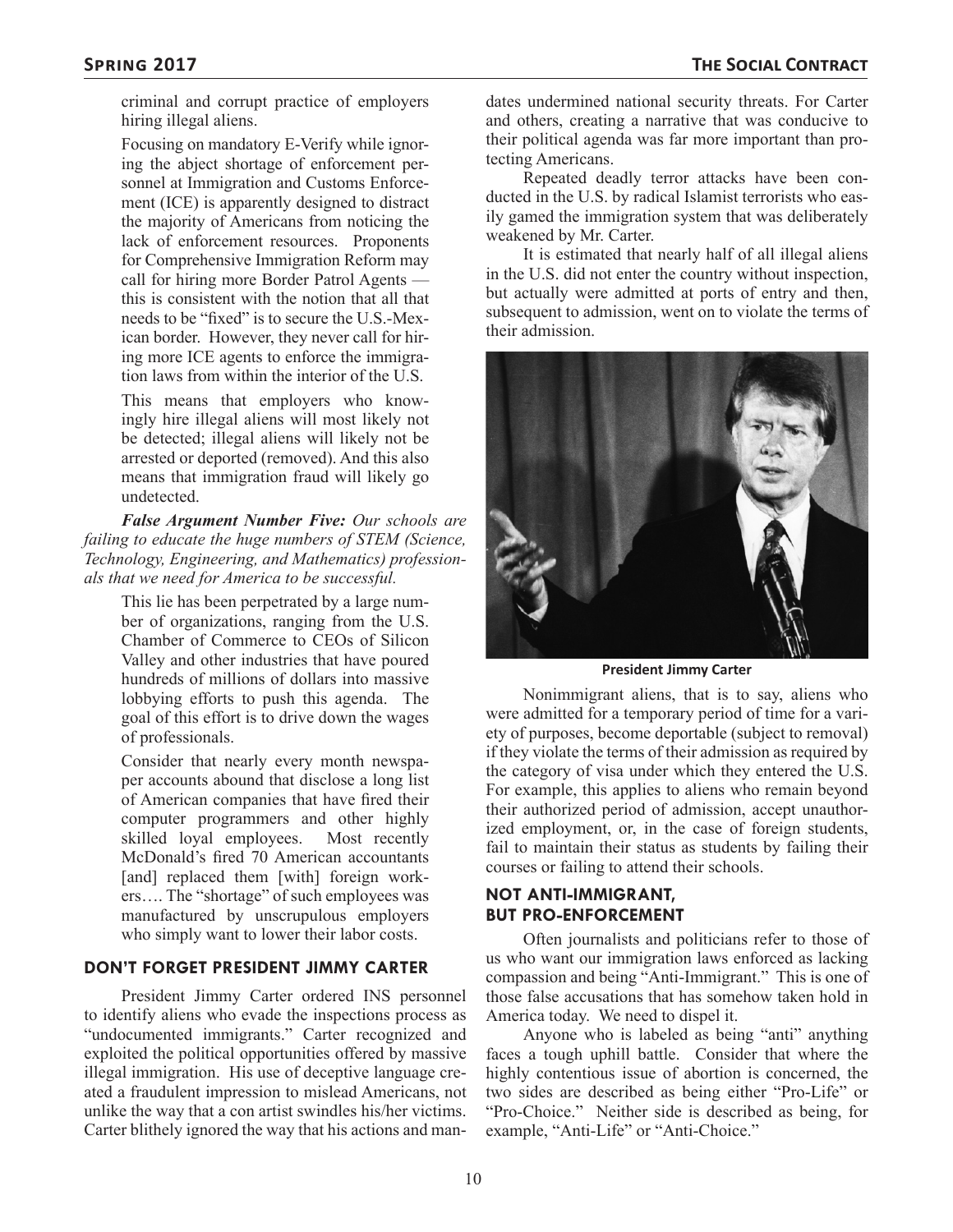criminal and corrupt practice of employers hiring illegal aliens.

Focusing on mandatory E-Verify while ignoring the abject shortage of enforcement personnel at Immigration and Customs Enforcement (ICE) is apparently designed to distract the majority of Americans from noticing the lack of enforcement resources. Proponents for Comprehensive Immigration Reform may call for hiring more Border Patrol Agents this is consistent with the notion that all that needs to be "fixed" is to secure the U.S.-Mexican border. However, they never call for hiring more ICE agents to enforce the immigration laws from within the interior of the U.S.

This means that employers who knowingly hire illegal aliens will most likely not be detected; illegal aliens will likely not be arrested or deported (removed). And this also means that immigration fraud will likely go undetected.

*False Argument Number Five: Our schools are failing to educate the huge numbers of STEM (Science, Technology, Engineering, and Mathematics) professionals that we need for America to be successful.*

> This lie has been perpetrated by a large number of organizations, ranging from the U.S. Chamber of Commerce to CEOs of Silicon Valley and other industries that have poured hundreds of millions of dollars into massive lobbying efforts to push this agenda. The goal of this effort is to drive down the wages of professionals.

> Consider that nearly every month newspaper accounts abound that disclose a long list of American companies that have fired their computer programmers and other highly skilled loyal employees. Most recently McDonald's fired 70 American accountants [and] replaced them [with] foreign workers…. The "shortage" of such employees was manufactured by unscrupulous employers who simply want to lower their labor costs.

#### **DON'T FORGET PRESIDENT JIMMY CARTER**

President Jimmy Carter ordered INS personnel to identify aliens who evade the inspections process as "undocumented immigrants." Carter recognized and exploited the political opportunities offered by massive illegal immigration. His use of deceptive language created a fraudulent impression to mislead Americans, not unlike the way that a con artist swindles his/her victims. Carter blithely ignored the way that his actions and mandates undermined national security threats. For Carter and others, creating a narrative that was conducive to their political agenda was far more important than protecting Americans.

Repeated deadly terror attacks have been conducted in the U.S. by radical Islamist terrorists who easily gamed the immigration system that was deliberately weakened by Mr. Carter.

It is estimated that nearly half of all illegal aliens in the U.S. did not enter the country without inspection, but actually were admitted at ports of entry and then, subsequent to admission, went on to violate the terms of their admission.



**President Jimmy Carter**

Nonimmigrant aliens, that is to say, aliens who were admitted for a temporary period of time for a variety of purposes, become deportable (subject to removal) if they violate the terms of their admission as required by the category of visa under which they entered the U.S. For example, this applies to aliens who remain beyond their authorized period of admission, accept unauthorized employment, or, in the case of foreign students, fail to maintain their status as students by failing their courses or failing to attend their schools.

#### **NOT ANTI-IMMIGRANT, BUT PRO-ENFORCEMENT**

Often journalists and politicians refer to those of us who want our immigration laws enforced as lacking compassion and being "Anti-Immigrant." This is one of those false accusations that has somehow taken hold in America today. We need to dispel it.

Anyone who is labeled as being "anti" anything faces a tough uphill battle. Consider that where the highly contentious issue of abortion is concerned, the two sides are described as being either "Pro-Life" or "Pro-Choice." Neither side is described as being, for example, "Anti-Life" or "Anti-Choice."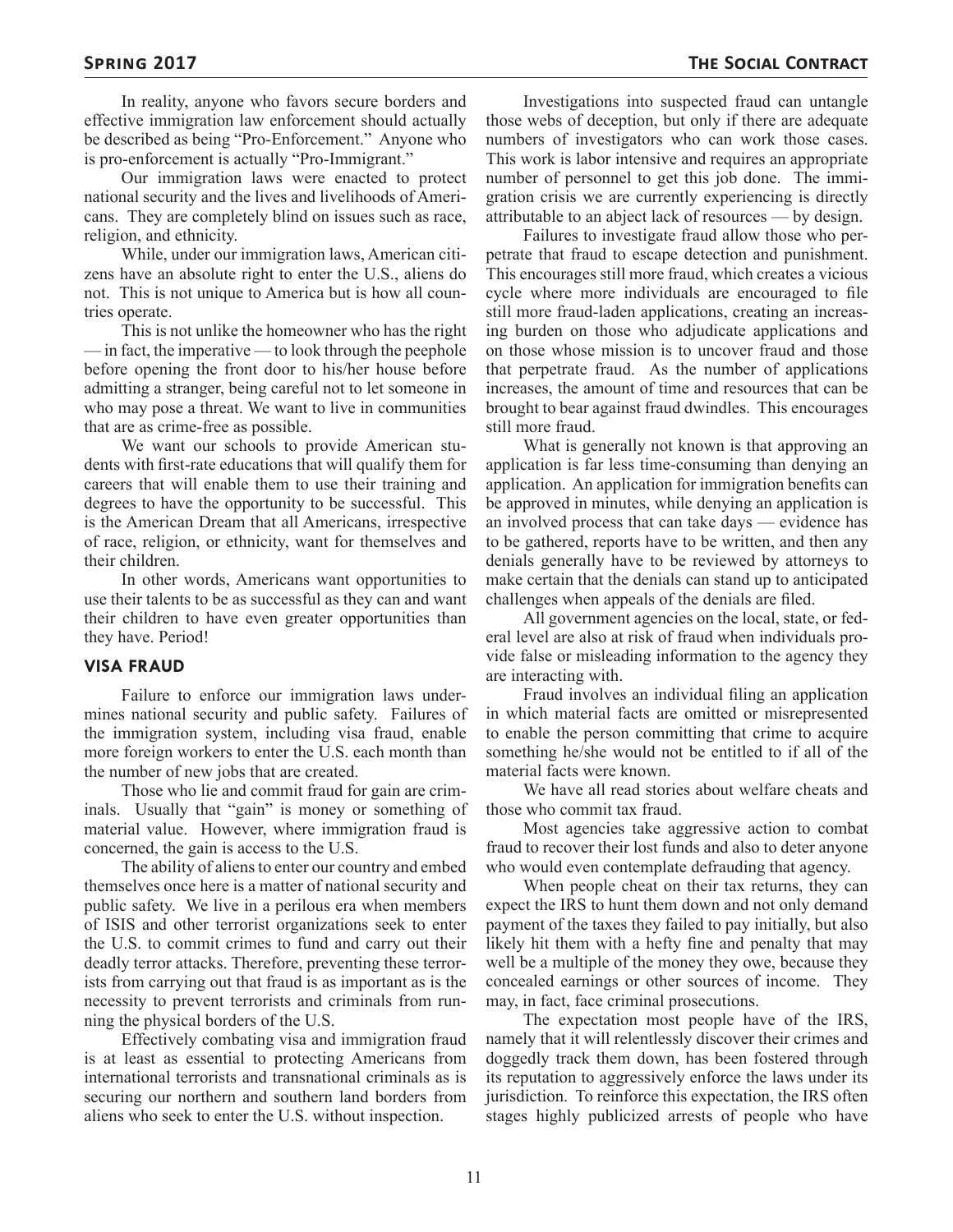In reality, anyone who favors secure borders and effective immigration law enforcement should actually be described as being "Pro-Enforcement." Anyone who is pro-enforcement is actually "Pro-Immigrant."

Our immigration laws were enacted to protect national security and the lives and livelihoods of Americans. They are completely blind on issues such as race, religion, and ethnicity.

While, under our immigration laws, American citizens have an absolute right to enter the U.S., aliens do not. This is not unique to America but is how all countries operate.

This is not unlike the homeowner who has the right — in fact, the imperative — to look through the peephole before opening the front door to his/her house before admitting a stranger, being careful not to let someone in who may pose a threat. We want to live in communities that are as crime-free as possible.

We want our schools to provide American students with first-rate educations that will qualify them for careers that will enable them to use their training and degrees to have the opportunity to be successful. This is the American Dream that all Americans, irrespective of race, religion, or ethnicity, want for themselves and their children.

In other words, Americans want opportunities to use their talents to be as successful as they can and want their children to have even greater opportunities than they have. Period!

#### **VISA FRAUD**

Failure to enforce our immigration laws undermines national security and public safety. Failures of the immigration system, including visa fraud, enable more foreign workers to enter the U.S. each month than the number of new jobs that are created.

Those who lie and commit fraud for gain are criminals. Usually that "gain" is money or something of material value. However, where immigration fraud is concerned, the gain is access to the U.S.

The ability of aliens to enter our country and embed themselves once here is a matter of national security and public safety. We live in a perilous era when members of ISIS and other terrorist organizations seek to enter the U.S. to commit crimes to fund and carry out their deadly terror attacks. Therefore, preventing these terrorists from carrying out that fraud is as important as is the necessity to prevent terrorists and criminals from running the physical borders of the U.S.

Effectively combating visa and immigration fraud is at least as essential to protecting Americans from international terrorists and transnational criminals as is securing our northern and southern land borders from aliens who seek to enter the U.S. without inspection.

Investigations into suspected fraud can untangle those webs of deception, but only if there are adequate numbers of investigators who can work those cases. This work is labor intensive and requires an appropriate number of personnel to get this job done. The immigration crisis we are currently experiencing is directly attributable to an abject lack of resources — by design.

Failures to investigate fraud allow those who perpetrate that fraud to escape detection and punishment. This encourages still more fraud, which creates a vicious cycle where more individuals are encouraged to file still more fraud-laden applications, creating an increasing burden on those who adjudicate applications and on those whose mission is to uncover fraud and those that perpetrate fraud. As the number of applications increases, the amount of time and resources that can be brought to bear against fraud dwindles. This encourages still more fraud.

What is generally not known is that approving an application is far less time-consuming than denying an application. An application for immigration benefits can be approved in minutes, while denying an application is an involved process that can take days — evidence has to be gathered, reports have to be written, and then any denials generally have to be reviewed by attorneys to make certain that the denials can stand up to anticipated challenges when appeals of the denials are filed.

All government agencies on the local, state, or federal level are also at risk of fraud when individuals provide false or misleading information to the agency they are interacting with.

Fraud involves an individual filing an application in which material facts are omitted or misrepresented to enable the person committing that crime to acquire something he/she would not be entitled to if all of the material facts were known.

We have all read stories about welfare cheats and those who commit tax fraud.

Most agencies take aggressive action to combat fraud to recover their lost funds and also to deter anyone who would even contemplate defrauding that agency.

When people cheat on their tax returns, they can expect the IRS to hunt them down and not only demand payment of the taxes they failed to pay initially, but also likely hit them with a hefty fine and penalty that may well be a multiple of the money they owe, because they concealed earnings or other sources of income. They may, in fact, face criminal prosecutions.

The expectation most people have of the IRS, namely that it will relentlessly discover their crimes and doggedly track them down, has been fostered through its reputation to aggressively enforce the laws under its jurisdiction. To reinforce this expectation, the IRS often stages highly publicized arrests of people who have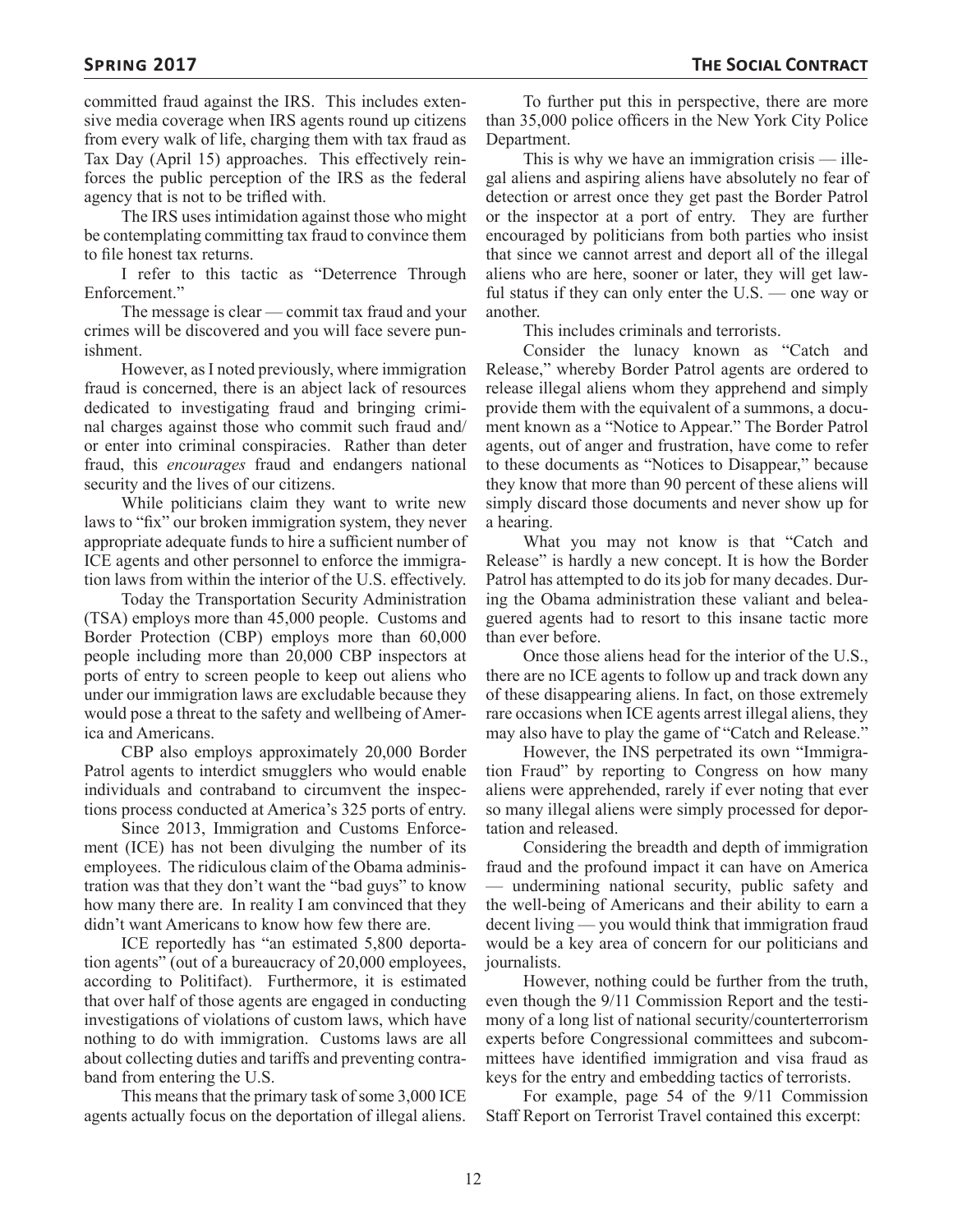committed fraud against the IRS. This includes extensive media coverage when IRS agents round up citizens from every walk of life, charging them with tax fraud as Tax Day (April 15) approaches. This effectively reinforces the public perception of the IRS as the federal agency that is not to be trifled with.

The IRS uses intimidation against those who might be contemplating committing tax fraud to convince them to file honest tax returns.

I refer to this tactic as "Deterrence Through Enforcement."

The message is clear — commit tax fraud and your crimes will be discovered and you will face severe punishment.

However, as I noted previously, where immigration fraud is concerned, there is an abject lack of resources dedicated to investigating fraud and bringing criminal charges against those who commit such fraud and/ or enter into criminal conspiracies. Rather than deter fraud, this *encourages* fraud and endangers national security and the lives of our citizens.

While politicians claim they want to write new laws to "fix" our broken immigration system, they never appropriate adequate funds to hire a sufficient number of ICE agents and other personnel to enforce the immigration laws from within the interior of the U.S. effectively.

Today the Transportation Security Administration (TSA) employs more than 45,000 people. Customs and Border Protection (CBP) employs more than 60,000 people including more than 20,000 CBP inspectors at ports of entry to screen people to keep out aliens who under our immigration laws are excludable because they would pose a threat to the safety and wellbeing of America and Americans.

CBP also employs approximately 20,000 Border Patrol agents to interdict smugglers who would enable individuals and contraband to circumvent the inspections process conducted at America's 325 ports of entry.

Since 2013, Immigration and Customs Enforcement (ICE) has not been divulging the number of its employees. The ridiculous claim of the Obama administration was that they don't want the "bad guys" to know how many there are. In reality I am convinced that they didn't want Americans to know how few there are.

ICE reportedly has "an estimated 5,800 deportation agents" (out of a bureaucracy of 20,000 employees, according to Politifact). Furthermore, it is estimated that over half of those agents are engaged in conducting investigations of violations of custom laws, which have nothing to do with immigration. Customs laws are all about collecting duties and tariffs and preventing contraband from entering the U.S.

This means that the primary task of some 3,000 ICE agents actually focus on the deportation of illegal aliens.

To further put this in perspective, there are more than 35,000 police officers in the New York City Police Department.

This is why we have an immigration crisis — illegal aliens and aspiring aliens have absolutely no fear of detection or arrest once they get past the Border Patrol or the inspector at a port of entry. They are further encouraged by politicians from both parties who insist that since we cannot arrest and deport all of the illegal aliens who are here, sooner or later, they will get lawful status if they can only enter the U.S. — one way or another.

This includes criminals and terrorists.

Consider the lunacy known as "Catch and Release," whereby Border Patrol agents are ordered to release illegal aliens whom they apprehend and simply provide them with the equivalent of a summons, a document known as a "Notice to Appear." The Border Patrol agents, out of anger and frustration, have come to refer to these documents as "Notices to Disappear," because they know that more than 90 percent of these aliens will simply discard those documents and never show up for a hearing.

What you may not know is that "Catch and Release" is hardly a new concept. It is how the Border Patrol has attempted to do its job for many decades. During the Obama administration these valiant and beleaguered agents had to resort to this insane tactic more than ever before.

Once those aliens head for the interior of the U.S., there are no ICE agents to follow up and track down any of these disappearing aliens. In fact, on those extremely rare occasions when ICE agents arrest illegal aliens, they may also have to play the game of "Catch and Release."

However, the INS perpetrated its own "Immigration Fraud" by reporting to Congress on how many aliens were apprehended, rarely if ever noting that ever so many illegal aliens were simply processed for deportation and released.

Considering the breadth and depth of immigration fraud and the profound impact it can have on America — undermining national security, public safety and the well-being of Americans and their ability to earn a decent living — you would think that immigration fraud would be a key area of concern for our politicians and journalists.

However, nothing could be further from the truth, even though the 9/11 Commission Report and the testimony of a long list of national security/counterterrorism experts before Congressional committees and subcommittees have identified immigration and visa fraud as keys for the entry and embedding tactics of terrorists.

For example, page 54 of the 9/11 Commission Staff Report on Terrorist Travel contained this excerpt: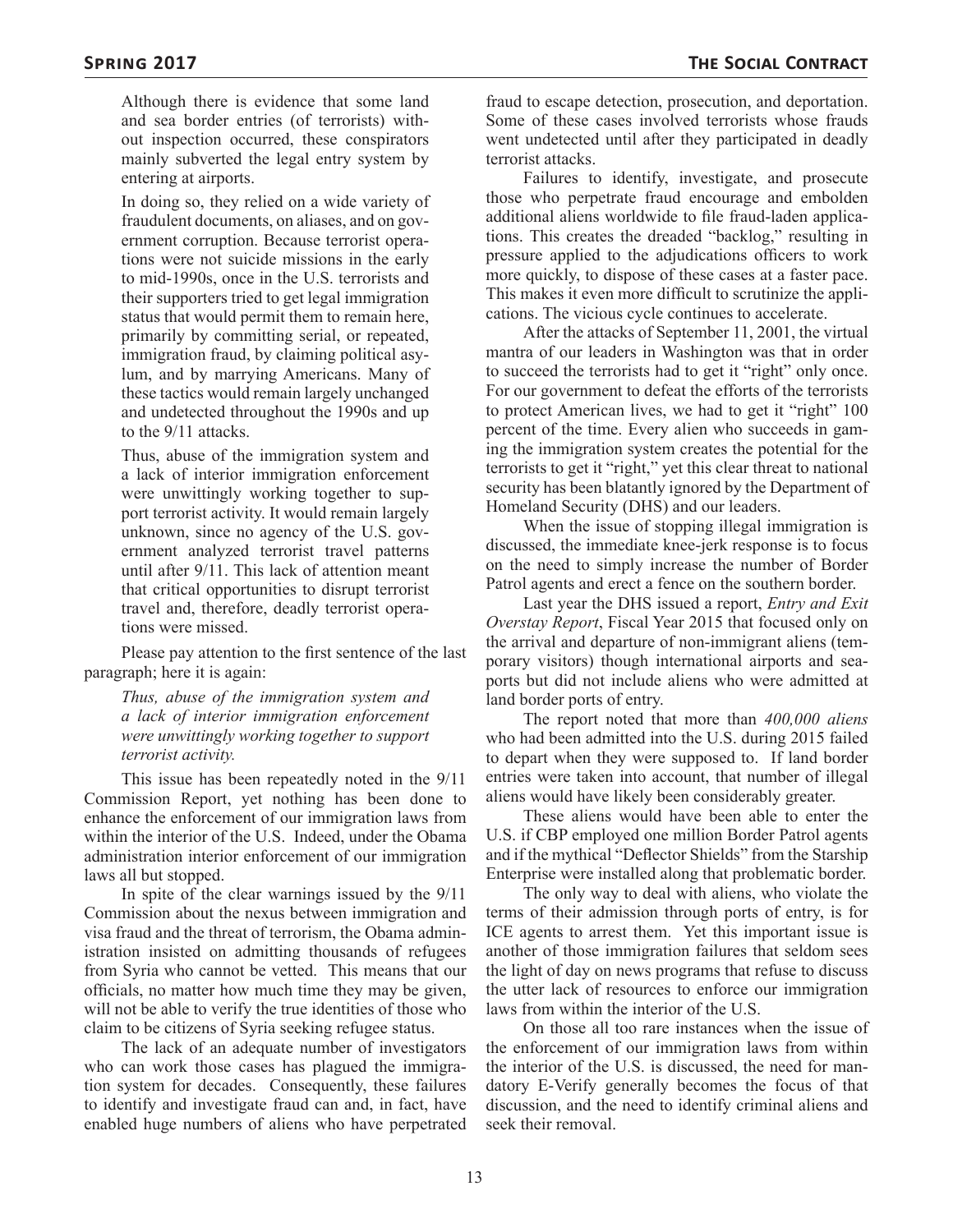Although there is evidence that some land and sea border entries (of terrorists) without inspection occurred, these conspirators mainly subverted the legal entry system by entering at airports.

In doing so, they relied on a wide variety of fraudulent documents, on aliases, and on government corruption. Because terrorist operations were not suicide missions in the early to mid-1990s, once in the U.S. terrorists and their supporters tried to get legal immigration status that would permit them to remain here, primarily by committing serial, or repeated, immigration fraud, by claiming political asylum, and by marrying Americans. Many of these tactics would remain largely unchanged and undetected throughout the 1990s and up to the 9/11 attacks.

Thus, abuse of the immigration system and a lack of interior immigration enforcement were unwittingly working together to support terrorist activity. It would remain largely unknown, since no agency of the U.S. government analyzed terrorist travel patterns until after 9/11. This lack of attention meant that critical opportunities to disrupt terrorist travel and, therefore, deadly terrorist operations were missed.

Please pay attention to the first sentence of the last paragraph; here it is again:

*Thus, abuse of the immigration system and a lack of interior immigration enforcement were unwittingly working together to support terrorist activity.*

This issue has been repeatedly noted in the 9/11 Commission Report, yet nothing has been done to enhance the enforcement of our immigration laws from within the interior of the U.S. Indeed, under the Obama administration interior enforcement of our immigration laws all but stopped.

In spite of the clear warnings issued by the 9/11 Commission about the nexus between immigration and visa fraud and the threat of terrorism, the Obama administration insisted on admitting thousands of refugees from Syria who cannot be vetted. This means that our officials, no matter how much time they may be given, will not be able to verify the true identities of those who claim to be citizens of Syria seeking refugee status.

The lack of an adequate number of investigators who can work those cases has plagued the immigration system for decades. Consequently, these failures to identify and investigate fraud can and, in fact, have enabled huge numbers of aliens who have perpetrated

fraud to escape detection, prosecution, and deportation. Some of these cases involved terrorists whose frauds went undetected until after they participated in deadly terrorist attacks.

Failures to identify, investigate, and prosecute those who perpetrate fraud encourage and embolden additional aliens worldwide to file fraud-laden applications. This creates the dreaded "backlog," resulting in pressure applied to the adjudications officers to work more quickly, to dispose of these cases at a faster pace. This makes it even more difficult to scrutinize the applications. The vicious cycle continues to accelerate.

After the attacks of September 11, 2001, the virtual mantra of our leaders in Washington was that in order to succeed the terrorists had to get it "right" only once. For our government to defeat the efforts of the terrorists to protect American lives, we had to get it "right" 100 percent of the time. Every alien who succeeds in gaming the immigration system creates the potential for the terrorists to get it "right," yet this clear threat to national security has been blatantly ignored by the Department of Homeland Security (DHS) and our leaders.

When the issue of stopping illegal immigration is discussed, the immediate knee-jerk response is to focus on the need to simply increase the number of Border Patrol agents and erect a fence on the southern border.

Last year the DHS issued a report, *Entry and Exit Overstay Report*, Fiscal Year 2015 that focused only on the arrival and departure of non-immigrant aliens (temporary visitors) though international airports and seaports but did not include aliens who were admitted at land border ports of entry.

The report noted that more than *400,000 aliens*  who had been admitted into the U.S. during 2015 failed to depart when they were supposed to. If land border entries were taken into account, that number of illegal aliens would have likely been considerably greater.

These aliens would have been able to enter the U.S. if CBP employed one million Border Patrol agents and if the mythical "Deflector Shields" from the Starship Enterprise were installed along that problematic border.

The only way to deal with aliens, who violate the terms of their admission through ports of entry, is for ICE agents to arrest them. Yet this important issue is another of those immigration failures that seldom sees the light of day on news programs that refuse to discuss the utter lack of resources to enforce our immigration laws from within the interior of the U.S.

On those all too rare instances when the issue of the enforcement of our immigration laws from within the interior of the U.S. is discussed, the need for mandatory E-Verify generally becomes the focus of that discussion, and the need to identify criminal aliens and seek their removal.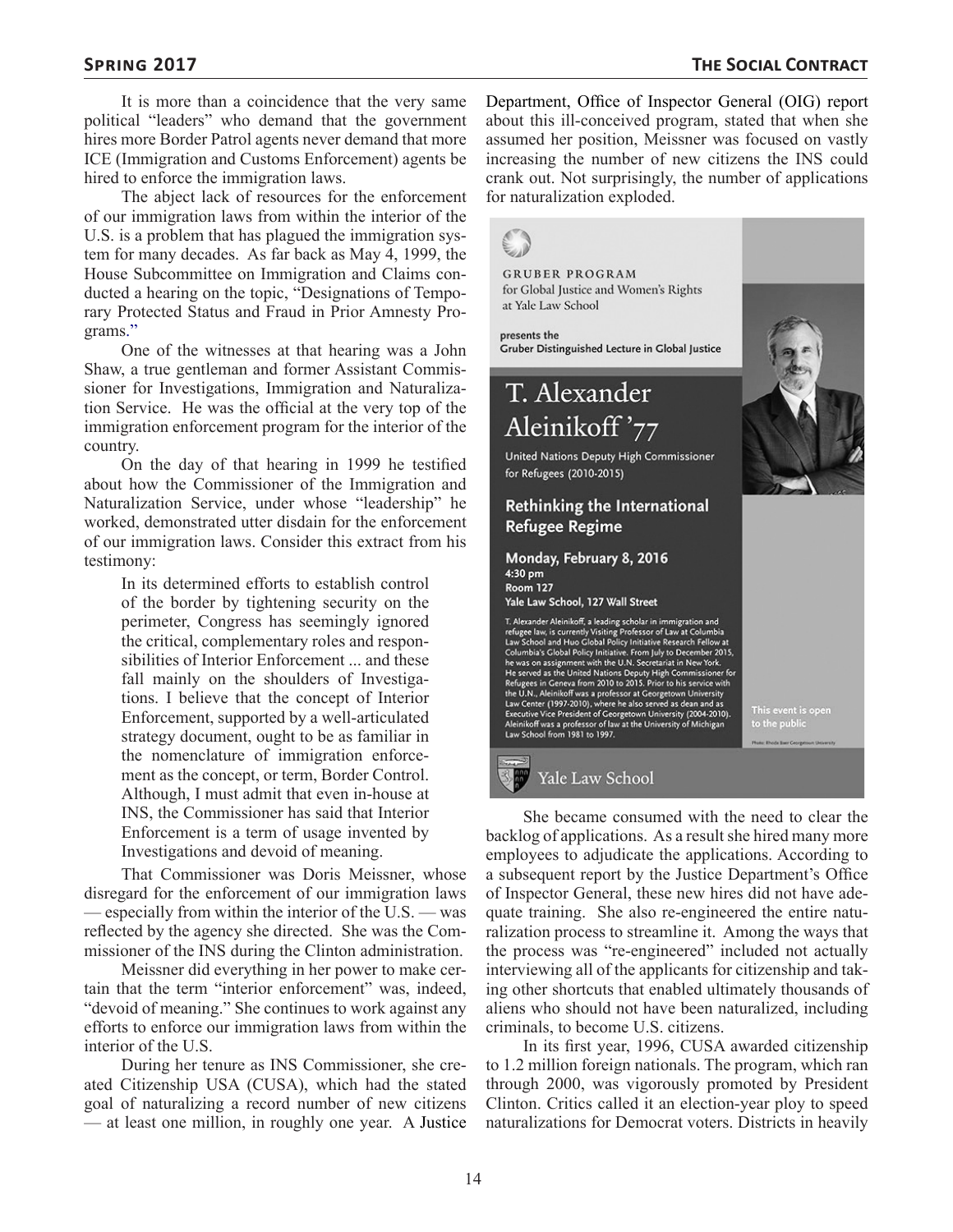It is more than a coincidence that the very same political "leaders" who demand that the government hires more Border Patrol agents never demand that more ICE (Immigration and Customs Enforcement) agents be hired to enforce the immigration laws.

The abject lack of resources for the enforcement of our immigration laws from within the interior of the U.S. is a problem that has plagued the immigration system for many decades. As far back as May 4, 1999, the House Subcommittee on Immigration and Claims conducted a hearing on the topic, "Designations of Temporary Protected Status and Fraud in Prior Amnesty Programs."

One of the witnesses at that hearing was a John Shaw, a true gentleman and former Assistant Commissioner for Investigations, Immigration and Naturalization Service. He was the official at the very top of the immigration enforcement program for the interior of the country.

On the day of that hearing in 1999 he testified about how the Commissioner of the Immigration and Naturalization Service, under whose "leadership" he worked, demonstrated utter disdain for the enforcement of our immigration laws. Consider this extract from his testimony:

In its determined efforts to establish control of the border by tightening security on the perimeter, Congress has seemingly ignored the critical, complementary roles and responsibilities of Interior Enforcement ... and these fall mainly on the shoulders of Investigations. I believe that the concept of Interior Enforcement, supported by a well-articulated strategy document, ought to be as familiar in the nomenclature of immigration enforcement as the concept, or term, Border Control. Although, I must admit that even in-house at INS, the Commissioner has said that Interior Enforcement is a term of usage invented by Investigations and devoid of meaning.

That Commissioner was Doris Meissner, whose disregard for the enforcement of our immigration laws — especially from within the interior of the U.S. — was reflected by the agency she directed. She was the Commissioner of the INS during the Clinton administration.

Meissner did everything in her power to make certain that the term "interior enforcement" was, indeed, "devoid of meaning." She continues to work against any efforts to enforce our immigration laws from within the interior of the U.S.

During her tenure as INS Commissioner, she created Citizenship USA (CUSA), which had the stated goal of naturalizing a record number of new citizens — at least one million, in roughly one year. A Justice Department, Office of Inspector General (OIG) report about this ill-conceived program, stated that when she assumed her position, Meissner was focused on vastly increasing the number of new citizens the INS could crank out. Not surprisingly, the number of applications for naturalization exploded.

## **GRUBER PROGRAM** for Global Justice and Women's Rights at Yale Law School presents the Gruber Distinguished Lecture in Global Justice T. Alexander Aleinikoff'77 United Nations Deputy High Commissioner for Refugees (2010-2015) **Rethinking the International Refugee Regime** Monday, February 8, 2016 4:30 pm **Room 127** Yale Law School, 127 Wall Street T. Alexander Aleinikoff, a leading scholar in immigration and 1. Alexander Missions, a leading school and immigration and<br>refugee law, is currently Visiting Professor of Law at Columbia<br>Law School and Huo Global Policy Initiative Research Fellow at<br>Columbia's Global Policy Initiative The was on assignment wint ne U.N. Secretarian the we formulate the served as the United Nations Deputy High Commissioner for<br>Refugees in Geneva from 2010 to 2015. Prior to his service with<br>the U.N., Aleinikoff was a profe Law School from 1981 to 1997. Yale Law School

She became consumed with the need to clear the backlog of applications. As a result she hired many more employees to adjudicate the applications. According to a subsequent report by the Justice Department's Office of Inspector General, these new hires did not have adequate training. She also re-engineered the entire naturalization process to streamline it. Among the ways that the process was "re-engineered" included not actually interviewing all of the applicants for citizenship and taking other shortcuts that enabled ultimately thousands of aliens who should not have been naturalized, including criminals, to become U.S. citizens.

In its first year, 1996, CUSA awarded citizenship to 1.2 million foreign nationals. The program, which ran through 2000, was vigorously promoted by President Clinton. Critics called it an election-year ploy to speed naturalizations for Democrat voters. Districts in heavily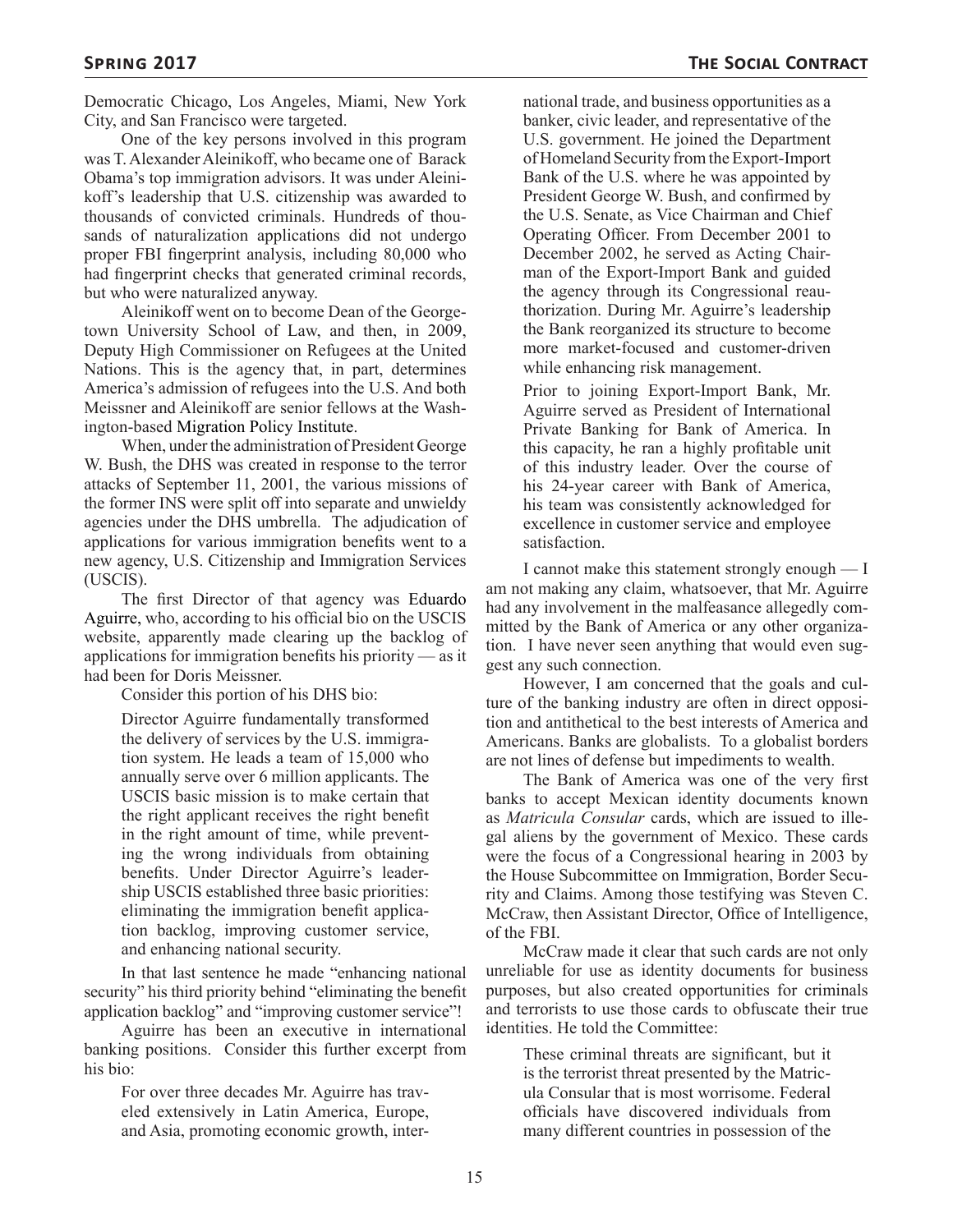Democratic Chicago, Los Angeles, Miami, New York City, and San Francisco were targeted.

One of the key persons involved in this program was T. Alexander Aleinikoff, who became one of Barack Obama's top immigration advisors. It was under Aleinikoff's leadership that U.S. citizenship was awarded to thousands of convicted criminals. Hundreds of thousands of naturalization applications did not undergo proper FBI fingerprint analysis, including 80,000 who had fingerprint checks that generated criminal records, but who were naturalized anyway.

Aleinikoff went on to become Dean of the Georgetown University School of Law, and then, in 2009, Deputy High Commissioner on Refugees at the United Nations. This is the agency that, in part, determines America's admission of refugees into the U.S. And both Meissner and Aleinikoff are senior fellows at the Washington-based Migration Policy Institute.

When, under the administration of President George W. Bush, the DHS was created in response to the terror attacks of September 11, 2001, the various missions of the former INS were split off into separate and unwieldy agencies under the DHS umbrella. The adjudication of applications for various immigration benefits went to a new agency, U.S. Citizenship and Immigration Services (USCIS).

The first Director of that agency was Eduardo Aguirre, who, according to his official bio on the USCIS website, apparently made clearing up the backlog of applications for immigration benefits his priority — as it had been for Doris Meissner.

Consider this portion of his DHS bio:

Director Aguirre fundamentally transformed the delivery of services by the U.S. immigration system. He leads a team of 15,000 who annually serve over 6 million applicants. The USCIS basic mission is to make certain that the right applicant receives the right benefit in the right amount of time, while preventing the wrong individuals from obtaining benefits. Under Director Aguirre's leadership USCIS established three basic priorities: eliminating the immigration benefit application backlog, improving customer service, and enhancing national security.

In that last sentence he made "enhancing national security" his third priority behind "eliminating the benefit application backlog" and "improving customer service"!

Aguirre has been an executive in international banking positions. Consider this further excerpt from his bio:

For over three decades Mr. Aguirre has traveled extensively in Latin America, Europe, and Asia, promoting economic growth, inter-

national trade, and business opportunities as a banker, civic leader, and representative of the U.S. government. He joined the Department of Homeland Security from the Export-Import Bank of the U.S. where he was appointed by President George W. Bush, and confirmed by the U.S. Senate, as Vice Chairman and Chief Operating Officer. From December 2001 to December 2002, he served as Acting Chairman of the Export-Import Bank and guided the agency through its Congressional reauthorization. During Mr. Aguirre's leadership the Bank reorganized its structure to become more market-focused and customer-driven while enhancing risk management.

Prior to joining Export-Import Bank, Mr. Aguirre served as President of International Private Banking for Bank of America. In this capacity, he ran a highly profitable unit of this industry leader. Over the course of his 24-year career with Bank of America, his team was consistently acknowledged for excellence in customer service and employee satisfaction.

I cannot make this statement strongly enough — I am not making any claim, whatsoever, that Mr. Aguirre had any involvement in the malfeasance allegedly committed by the Bank of America or any other organization. I have never seen anything that would even suggest any such connection.

However, I am concerned that the goals and culture of the banking industry are often in direct opposition and antithetical to the best interests of America and Americans. Banks are globalists. To a globalist borders are not lines of defense but impediments to wealth.

The Bank of America was one of the very first banks to accept Mexican identity documents known as *Matricula Consular* cards, which are issued to illegal aliens by the government of Mexico. These cards were the focus of a Congressional hearing in 2003 by the House Subcommittee on Immigration, Border Security and Claims. Among those testifying was Steven C. McCraw, then Assistant Director, Office of Intelligence, of the FBI.

McCraw made it clear that such cards are not only unreliable for use as identity documents for business purposes, but also created opportunities for criminals and terrorists to use those cards to obfuscate their true identities. He told the Committee:

These criminal threats are significant, but it is the terrorist threat presented by the Matricula Consular that is most worrisome. Federal officials have discovered individuals from many different countries in possession of the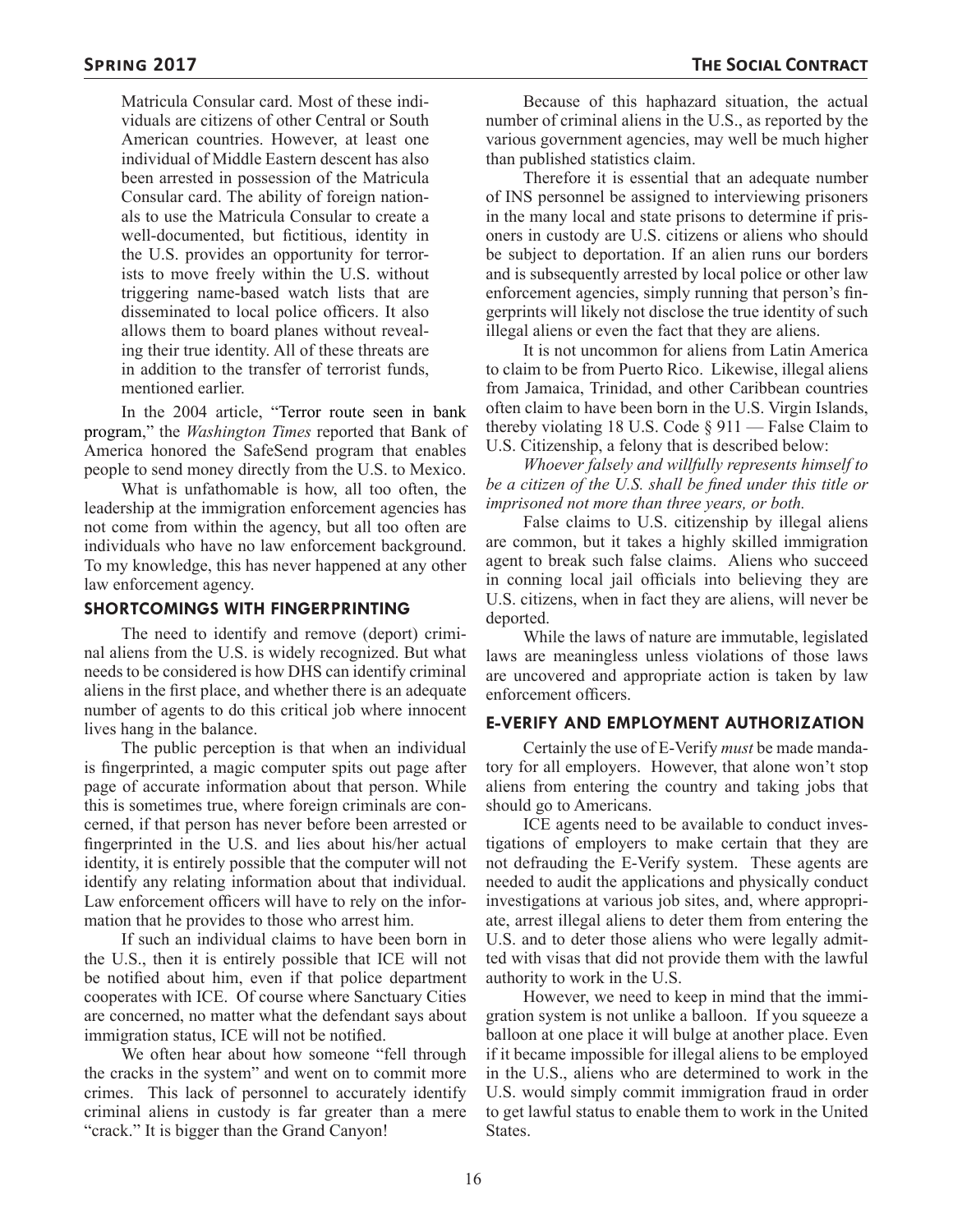Matricula Consular card. Most of these individuals are citizens of other Central or South American countries. However, at least one individual of Middle Eastern descent has also been arrested in possession of the Matricula Consular card. The ability of foreign nationals to use the Matricula Consular to create a well-documented, but fictitious, identity in the U.S. provides an opportunity for terrorists to move freely within the U.S. without triggering name-based watch lists that are disseminated to local police officers. It also allows them to board planes without revealing their true identity. All of these threats are in addition to the transfer of terrorist funds, mentioned earlier.

In the 2004 article, "Terror route seen in bank program," the *Washington Times* reported that Bank of America honored the SafeSend program that enables people to send money directly from the U.S. to Mexico.

What is unfathomable is how, all too often, the leadership at the immigration enforcement agencies has not come from within the agency, but all too often are individuals who have no law enforcement background. To my knowledge, this has never happened at any other law enforcement agency.

#### **SHORTCOMINGS WITH FINGERPRINTING**

The need to identify and remove (deport) criminal aliens from the U.S. is widely recognized. But what needs to be considered is how DHS can identify criminal aliens in the first place, and whether there is an adequate number of agents to do this critical job where innocent lives hang in the balance.

The public perception is that when an individual is fingerprinted, a magic computer spits out page after page of accurate information about that person. While this is sometimes true, where foreign criminals are concerned, if that person has never before been arrested or fingerprinted in the U.S. and lies about his/her actual identity, it is entirely possible that the computer will not identify any relating information about that individual. Law enforcement officers will have to rely on the information that he provides to those who arrest him.

If such an individual claims to have been born in the U.S., then it is entirely possible that ICE will not be notified about him, even if that police department cooperates with ICE. Of course where Sanctuary Cities are concerned, no matter what the defendant says about immigration status, ICE will not be notified.

We often hear about how someone "fell through the cracks in the system" and went on to commit more crimes. This lack of personnel to accurately identify criminal aliens in custody is far greater than a mere "crack." It is bigger than the Grand Canyon!

Because of this haphazard situation, the actual number of criminal aliens in the U.S., as reported by the various government agencies, may well be much higher than published statistics claim.

Therefore it is essential that an adequate number of INS personnel be assigned to interviewing prisoners in the many local and state prisons to determine if prisoners in custody are U.S. citizens or aliens who should be subject to deportation. If an alien runs our borders and is subsequently arrested by local police or other law enforcement agencies, simply running that person's fingerprints will likely not disclose the true identity of such illegal aliens or even the fact that they are aliens.

It is not uncommon for aliens from Latin America to claim to be from Puerto Rico. Likewise, illegal aliens from Jamaica, Trinidad, and other Caribbean countries often claim to have been born in the U.S. Virgin Islands, thereby violating 18 U.S. Code  $\S 911$  — False Claim to U.S. Citizenship, a felony that is described below:

*Whoever falsely and willfully represents himself to be a citizen of the U.S. shall be fined under this title or imprisoned not more than three years, or both.*

False claims to U.S. citizenship by illegal aliens are common, but it takes a highly skilled immigration agent to break such false claims. Aliens who succeed in conning local jail officials into believing they are U.S. citizens, when in fact they are aliens, will never be deported.

While the laws of nature are immutable, legislated laws are meaningless unless violations of those laws are uncovered and appropriate action is taken by law enforcement officers.

#### **E-VERIFY AND EMPLOYMENT AUTHORIZATION**

Certainly the use of E-Verify *must* be made mandatory for all employers. However, that alone won't stop aliens from entering the country and taking jobs that should go to Americans.

ICE agents need to be available to conduct investigations of employers to make certain that they are not defrauding the E-Verify system. These agents are needed to audit the applications and physically conduct investigations at various job sites, and, where appropriate, arrest illegal aliens to deter them from entering the U.S. and to deter those aliens who were legally admitted with visas that did not provide them with the lawful authority to work in the U.S.

However, we need to keep in mind that the immigration system is not unlike a balloon. If you squeeze a balloon at one place it will bulge at another place. Even if it became impossible for illegal aliens to be employed in the U.S., aliens who are determined to work in the U.S. would simply commit immigration fraud in order to get lawful status to enable them to work in the United States.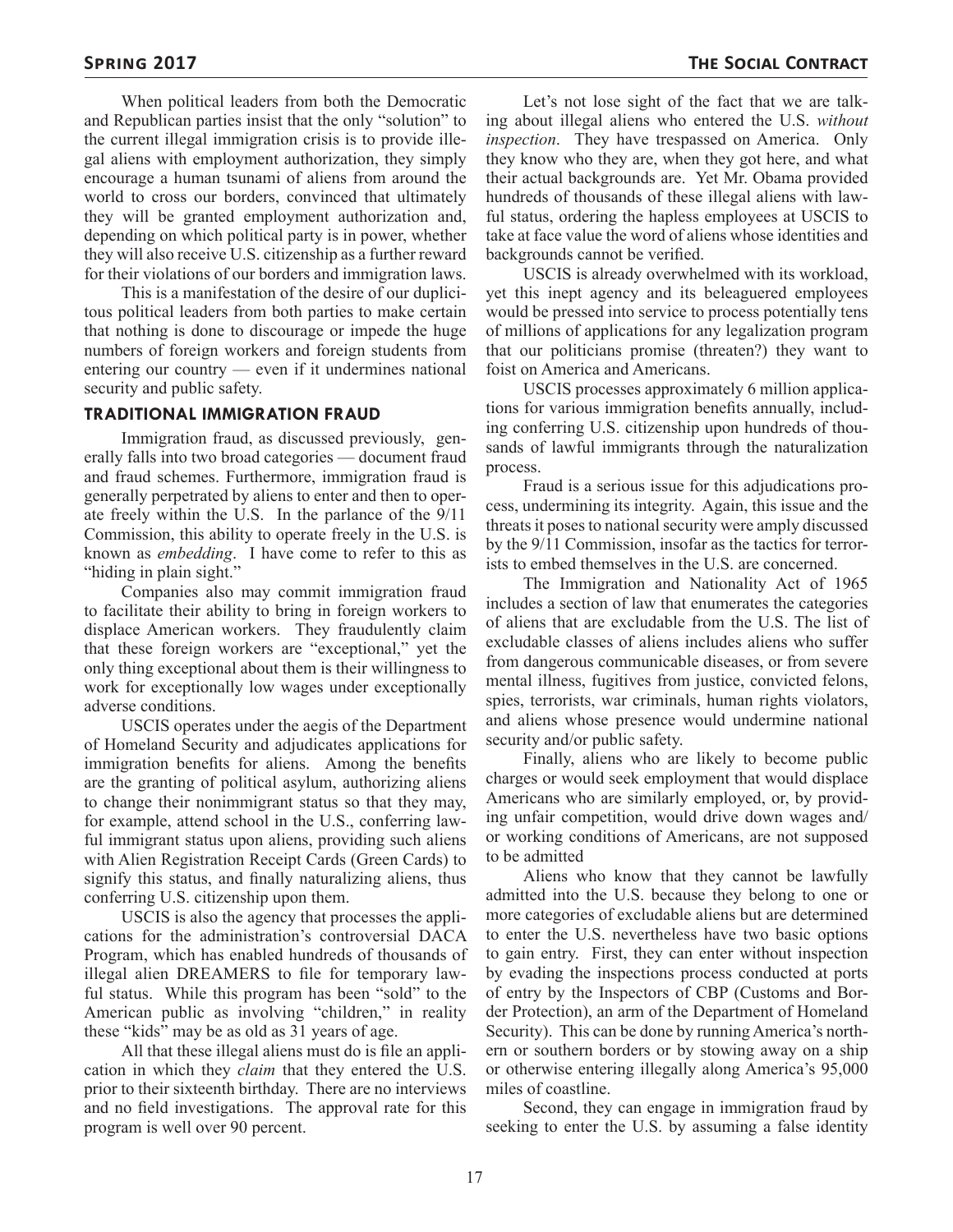When political leaders from both the Democratic and Republican parties insist that the only "solution" to the current illegal immigration crisis is to provide illegal aliens with employment authorization, they simply encourage a human tsunami of aliens from around the world to cross our borders, convinced that ultimately they will be granted employment authorization and, depending on which political party is in power, whether they will also receive U.S. citizenship as a further reward for their violations of our borders and immigration laws.

This is a manifestation of the desire of our duplicitous political leaders from both parties to make certain that nothing is done to discourage or impede the huge numbers of foreign workers and foreign students from entering our country — even if it undermines national security and public safety.

#### **TRADITIONAL IMMIGRATION FRAUD**

Immigration fraud, as discussed previously, generally falls into two broad categories — document fraud and fraud schemes. Furthermore, immigration fraud is generally perpetrated by aliens to enter and then to operate freely within the U.S. In the parlance of the 9/11 Commission, this ability to operate freely in the U.S. is known as *embedding*. I have come to refer to this as "hiding in plain sight."

Companies also may commit immigration fraud to facilitate their ability to bring in foreign workers to displace American workers. They fraudulently claim that these foreign workers are "exceptional," yet the only thing exceptional about them is their willingness to work for exceptionally low wages under exceptionally adverse conditions.

USCIS operates under the aegis of the Department of Homeland Security and adjudicates applications for immigration benefits for aliens. Among the benefits are the granting of political asylum, authorizing aliens to change their nonimmigrant status so that they may, for example, attend school in the U.S., conferring lawful immigrant status upon aliens, providing such aliens with Alien Registration Receipt Cards (Green Cards) to signify this status, and finally naturalizing aliens, thus conferring U.S. citizenship upon them.

USCIS is also the agency that processes the applications for the administration's controversial DACA Program, which has enabled hundreds of thousands of illegal alien DREAMERS to file for temporary lawful status. While this program has been "sold" to the American public as involving "children," in reality these "kids" may be as old as 31 years of age.

All that these illegal aliens must do is file an application in which they *claim* that they entered the U.S. prior to their sixteenth birthday. There are no interviews and no field investigations. The approval rate for this program is well over 90 percent.

Let's not lose sight of the fact that we are talking about illegal aliens who entered the U.S. *without inspection*. They have trespassed on America. Only they know who they are, when they got here, and what their actual backgrounds are. Yet Mr. Obama provided hundreds of thousands of these illegal aliens with lawful status, ordering the hapless employees at USCIS to take at face value the word of aliens whose identities and backgrounds cannot be verified.

USCIS is already overwhelmed with its workload, yet this inept agency and its beleaguered employees would be pressed into service to process potentially tens of millions of applications for any legalization program that our politicians promise (threaten?) they want to foist on America and Americans.

USCIS processes approximately 6 million applications for various immigration benefits annually, including conferring U.S. citizenship upon hundreds of thousands of lawful immigrants through the naturalization process.

Fraud is a serious issue for this adjudications process, undermining its integrity. Again, this issue and the threats it poses to national security were amply discussed by the 9/11 Commission, insofar as the tactics for terrorists to embed themselves in the U.S. are concerned.

The Immigration and Nationality Act of 1965 includes a section of law that enumerates the categories of aliens that are excludable from the U.S. The list of excludable classes of aliens includes aliens who suffer from dangerous communicable diseases, or from severe mental illness, fugitives from justice, convicted felons, spies, terrorists, war criminals, human rights violators, and aliens whose presence would undermine national security and/or public safety.

Finally, aliens who are likely to become public charges or would seek employment that would displace Americans who are similarly employed, or, by providing unfair competition, would drive down wages and/ or working conditions of Americans, are not supposed to be admitted

Aliens who know that they cannot be lawfully admitted into the U.S. because they belong to one or more categories of excludable aliens but are determined to enter the U.S. nevertheless have two basic options to gain entry. First, they can enter without inspection by evading the inspections process conducted at ports of entry by the Inspectors of CBP (Customs and Border Protection), an arm of the Department of Homeland Security). This can be done by running America's northern or southern borders or by stowing away on a ship or otherwise entering illegally along America's 95,000 miles of coastline.

Second, they can engage in immigration fraud by seeking to enter the U.S. by assuming a false identity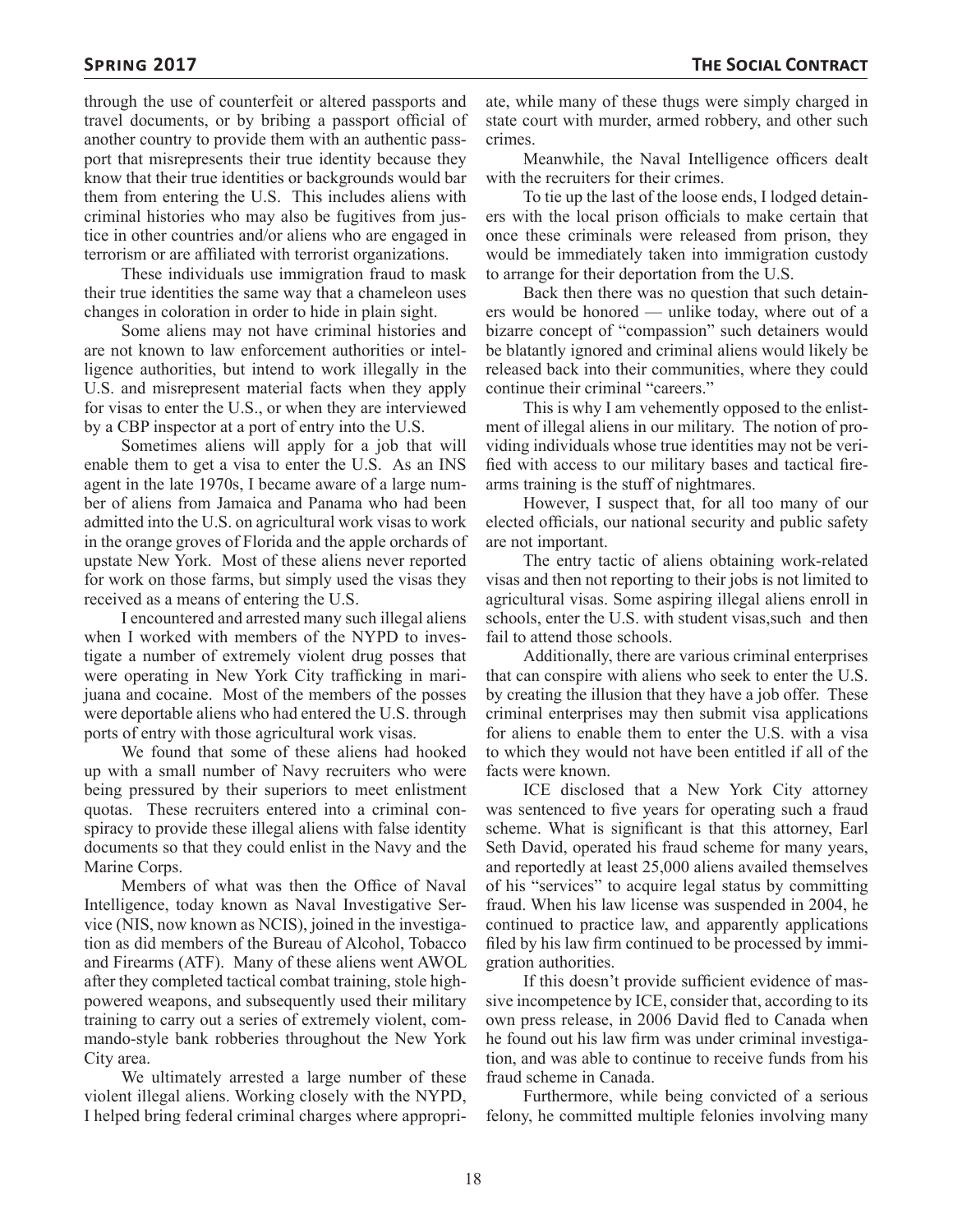through the use of counterfeit or altered passports and travel documents, or by bribing a passport official of another country to provide them with an authentic passport that misrepresents their true identity because they know that their true identities or backgrounds would bar them from entering the U.S. This includes aliens with criminal histories who may also be fugitives from justice in other countries and/or aliens who are engaged in terrorism or are affiliated with terrorist organizations.

These individuals use immigration fraud to mask their true identities the same way that a chameleon uses changes in coloration in order to hide in plain sight.

Some aliens may not have criminal histories and are not known to law enforcement authorities or intelligence authorities, but intend to work illegally in the U.S. and misrepresent material facts when they apply for visas to enter the U.S., or when they are interviewed by a CBP inspector at a port of entry into the U.S.

Sometimes aliens will apply for a job that will enable them to get a visa to enter the U.S. As an INS agent in the late 1970s, I became aware of a large number of aliens from Jamaica and Panama who had been admitted into the U.S. on agricultural work visas to work in the orange groves of Florida and the apple orchards of upstate New York. Most of these aliens never reported for work on those farms, but simply used the visas they received as a means of entering the U.S.

I encountered and arrested many such illegal aliens when I worked with members of the NYPD to investigate a number of extremely violent drug posses that were operating in New York City trafficking in marijuana and cocaine. Most of the members of the posses were deportable aliens who had entered the U.S. through ports of entry with those agricultural work visas.

We found that some of these aliens had hooked up with a small number of Navy recruiters who were being pressured by their superiors to meet enlistment quotas. These recruiters entered into a criminal conspiracy to provide these illegal aliens with false identity documents so that they could enlist in the Navy and the Marine Corps.

Members of what was then the Office of Naval Intelligence, today known as Naval Investigative Service (NIS, now known as NCIS), joined in the investigation as did members of the Bureau of Alcohol, Tobacco and Firearms (ATF). Many of these aliens went AWOL after they completed tactical combat training, stole highpowered weapons, and subsequently used their military training to carry out a series of extremely violent, commando-style bank robberies throughout the New York City area.

We ultimately arrested a large number of these violent illegal aliens. Working closely with the NYPD, I helped bring federal criminal charges where appropri-

ate, while many of these thugs were simply charged in state court with murder, armed robbery, and other such crimes.

Meanwhile, the Naval Intelligence officers dealt with the recruiters for their crimes.

To tie up the last of the loose ends, I lodged detainers with the local prison officials to make certain that once these criminals were released from prison, they would be immediately taken into immigration custody to arrange for their deportation from the U.S.

Back then there was no question that such detainers would be honored — unlike today, where out of a bizarre concept of "compassion" such detainers would be blatantly ignored and criminal aliens would likely be released back into their communities, where they could continue their criminal "careers."

This is why I am vehemently opposed to the enlistment of illegal aliens in our military. The notion of providing individuals whose true identities may not be verified with access to our military bases and tactical firearms training is the stuff of nightmares.

However, I suspect that, for all too many of our elected officials, our national security and public safety are not important.

The entry tactic of aliens obtaining work-related visas and then not reporting to their jobs is not limited to agricultural visas. Some aspiring illegal aliens enroll in schools, enter the U.S. with student visas, such and then fail to attend those schools.

Additionally, there are various criminal enterprises that can conspire with aliens who seek to enter the U.S. by creating the illusion that they have a job offer. These criminal enterprises may then submit visa applications for aliens to enable them to enter the U.S. with a visa to which they would not have been entitled if all of the facts were known.

ICE disclosed that a New York City attorney was sentenced to five years for operating such a fraud scheme. What is significant is that this attorney, Earl Seth David, operated his fraud scheme for many years, and reportedly at least 25,000 aliens availed themselves of his "services" to acquire legal status by committing fraud. When his law license was suspended in 2004, he continued to practice law, and apparently applications filed by his law firm continued to be processed by immigration authorities.

If this doesn't provide sufficient evidence of massive incompetence by ICE, consider that, according to its own press release, in 2006 David fled to Canada when he found out his law firm was under criminal investigation, and was able to continue to receive funds from his fraud scheme in Canada.

Furthermore, while being convicted of a serious felony, he committed multiple felonies involving many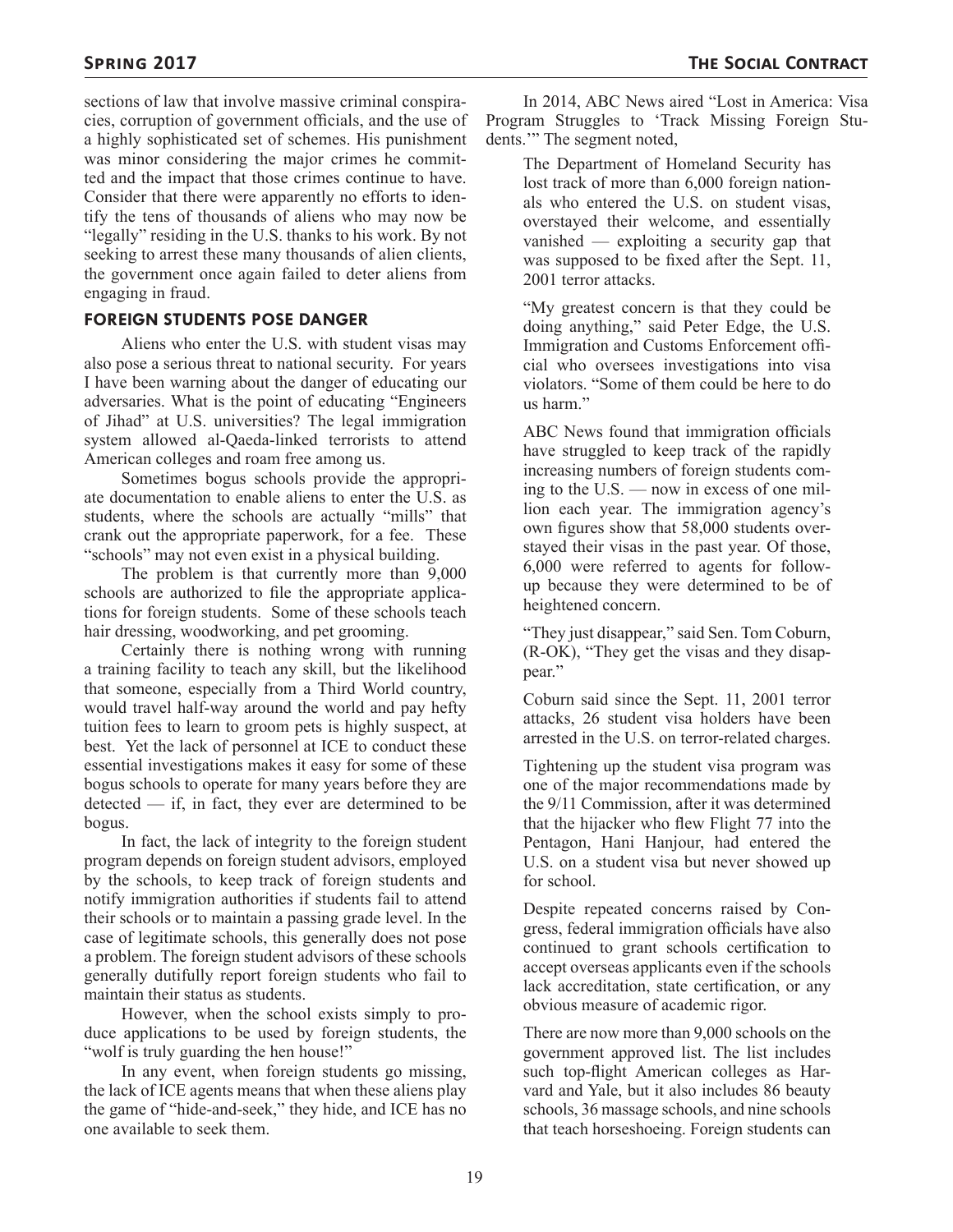sections of law that involve massive criminal conspiracies, corruption of government officials, and the use of a highly sophisticated set of schemes. His punishment was minor considering the major crimes he committed and the impact that those crimes continue to have. Consider that there were apparently no efforts to identify the tens of thousands of aliens who may now be "legally" residing in the U.S. thanks to his work. By not seeking to arrest these many thousands of alien clients, the government once again failed to deter aliens from engaging in fraud.

#### **FOREIGN STUDENTS POSE DANGER**

Aliens who enter the U.S. with student visas may also pose a serious threat to national security. For years I have been warning about the danger of educating our adversaries. What is the point of educating "Engineers of Jihad" at U.S. universities? The legal immigration system allowed al-Qaeda-linked terrorists to attend American colleges and roam free among us.

Sometimes bogus schools provide the appropriate documentation to enable aliens to enter the U.S. as students, where the schools are actually "mills" that crank out the appropriate paperwork, for a fee. These "schools" may not even exist in a physical building.

The problem is that currently more than 9,000 schools are authorized to file the appropriate applications for foreign students. Some of these schools teach hair dressing, woodworking, and pet grooming.

Certainly there is nothing wrong with running a training facility to teach any skill, but the likelihood that someone, especially from a Third World country, would travel half-way around the world and pay hefty tuition fees to learn to groom pets is highly suspect, at best. Yet the lack of personnel at ICE to conduct these essential investigations makes it easy for some of these bogus schools to operate for many years before they are  $\text{detected}$  — if, in fact, they ever are determined to be bogus.

In fact, the lack of integrity to the foreign student program depends on foreign student advisors, employed by the schools, to keep track of foreign students and notify immigration authorities if students fail to attend their schools or to maintain a passing grade level. In the case of legitimate schools, this generally does not pose a problem. The foreign student advisors of these schools generally dutifully report foreign students who fail to maintain their status as students.

However, when the school exists simply to produce applications to be used by foreign students, the "wolf is truly guarding the hen house!"

In any event, when foreign students go missing, the lack of ICE agents means that when these aliens play the game of "hide-and-seek," they hide, and ICE has no one available to seek them.

In 2014, ABC News aired "Lost in America: Visa Program Struggles to 'Track Missing Foreign Students."" The segment noted,

The Department of Homeland Security has lost track of more than 6,000 foreign nationals who entered the U.S. on student visas, overstayed their welcome, and essentially vanished — exploiting a security gap that was supposed to be fixed after the Sept. 11, 2001 terror attacks.

"My greatest concern is that they could be doing anything," said Peter Edge, the U.S. Immigration and Customs Enforcement official who oversees investigations into visa violators. "Some of them could be here to do us harm."

ABC News found that immigration officials have struggled to keep track of the rapidly increasing numbers of foreign students coming to the U.S. — now in excess of one million each year. The immigration agency's own figures show that 58,000 students overstayed their visas in the past year. Of those, 6,000 were referred to agents for followup because they were determined to be of heightened concern.

"They just disappear," said Sen. Tom Coburn, (R-OK), "They get the visas and they disappear."

Coburn said since the Sept. 11, 2001 terror attacks, 26 student visa holders have been arrested in the U.S. on terror-related charges.

Tightening up the student visa program was one of the major recommendations made by the 9/11 Commission, after it was determined that the hijacker who flew Flight 77 into the Pentagon, Hani Hanjour, had entered the U.S. on a student visa but never showed up for school.

Despite repeated concerns raised by Congress, federal immigration officials have also continued to grant schools certification to accept overseas applicants even if the schools lack accreditation, state certification, or any obvious measure of academic rigor.

There are now more than 9,000 schools on the government approved list. The list includes such top-flight American colleges as Harvard and Yale, but it also includes 86 beauty schools, 36 massage schools, and nine schools that teach horseshoeing. Foreign students can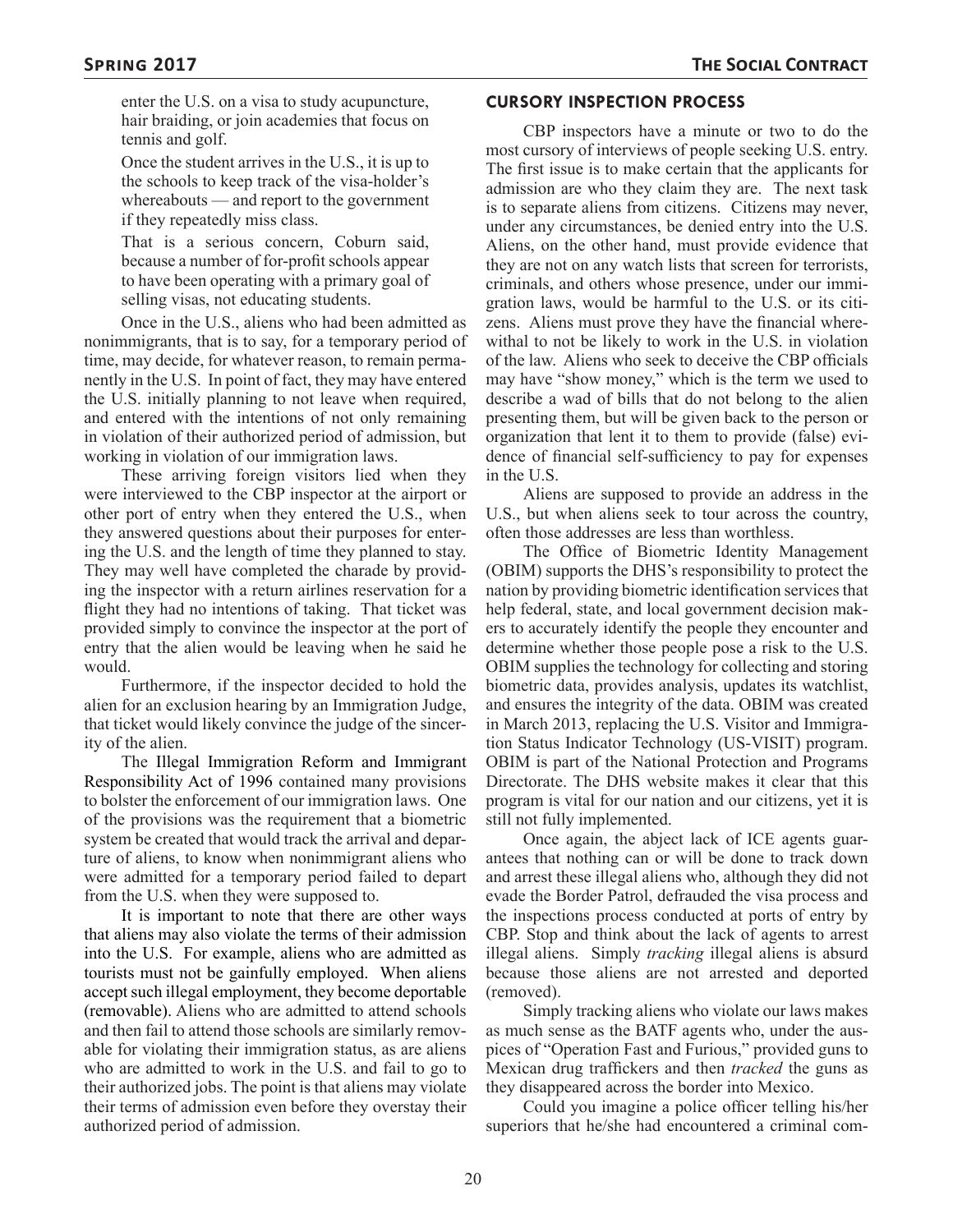enter the U.S. on a visa to study acupuncture, hair braiding, or join academies that focus on tennis and golf.

Once the student arrives in the U.S., it is up to the schools to keep track of the visa-holder's whereabouts — and report to the government if they repeatedly miss class.

That is a serious concern, Coburn said, because a number of for-profit schools appear to have been operating with a primary goal of selling visas, not educating students.

Once in the U.S., aliens who had been admitted as nonimmigrants, that is to say, for a temporary period of time, may decide, for whatever reason, to remain permanently in the U.S. In point of fact, they may have entered the U.S. initially planning to not leave when required, and entered with the intentions of not only remaining in violation of their authorized period of admission, but working in violation of our immigration laws.

These arriving foreign visitors lied when they were interviewed to the CBP inspector at the airport or other port of entry when they entered the U.S., when they answered questions about their purposes for entering the U.S. and the length of time they planned to stay. They may well have completed the charade by providing the inspector with a return airlines reservation for a flight they had no intentions of taking. That ticket was provided simply to convince the inspector at the port of entry that the alien would be leaving when he said he would.

Furthermore, if the inspector decided to hold the alien for an exclusion hearing by an Immigration Judge, that ticket would likely convince the judge of the sincerity of the alien.

The Illegal Immigration Reform and Immigrant Responsibility Act of 1996 contained many provisions to bolster the enforcement of our immigration laws. One of the provisions was the requirement that a biometric system be created that would track the arrival and departure of aliens, to know when nonimmigrant aliens who were admitted for a temporary period failed to depart from the U.S. when they were supposed to.

It is important to note that there are other ways that aliens may also violate the terms of their admission into the U.S. For example, aliens who are admitted as tourists must not be gainfully employed. When aliens accept such illegal employment, they become deportable (removable). Aliens who are admitted to attend schools and then fail to attend those schools are similarly removable for violating their immigration status, as are aliens who are admitted to work in the U.S. and fail to go to their authorized jobs. The point is that aliens may violate their terms of admission even before they overstay their authorized period of admission.

### **CURSORY INSPECTION PROCESS**

CBP inspectors have a minute or two to do the most cursory of interviews of people seeking U.S. entry. The first issue is to make certain that the applicants for admission are who they claim they are. The next task is to separate aliens from citizens. Citizens may never, under any circumstances, be denied entry into the U.S. Aliens, on the other hand, must provide evidence that they are not on any watch lists that screen for terrorists, criminals, and others whose presence, under our immigration laws, would be harmful to the U.S. or its citizens. Aliens must prove they have the financial wherewithal to not be likely to work in the U.S. in violation of the law. Aliens who seek to deceive the CBP officials may have "show money," which is the term we used to describe a wad of bills that do not belong to the alien presenting them, but will be given back to the person or organization that lent it to them to provide (false) evidence of financial self-sufficiency to pay for expenses in the U.S.

Aliens are supposed to provide an address in the U.S., but when aliens seek to tour across the country, often those addresses are less than worthless.

The Office of Biometric Identity Management (OBIM) supports the DHS's responsibility to protect the nation by providing biometric identification services that help federal, state, and local government decision makers to accurately identify the people they encounter and determine whether those people pose a risk to the U.S. OBIM supplies the technology for collecting and storing biometric data, provides analysis, updates its watchlist, and ensures the integrity of the data. OBIM was created in March 2013, replacing the U.S. Visitor and Immigration Status Indicator Technology (US-VISIT) program. OBIM is part of the National Protection and Programs Directorate. The DHS website makes it clear that this program is vital for our nation and our citizens, yet it is still not fully implemented.

Once again, the abject lack of ICE agents guarantees that nothing can or will be done to track down and arrest these illegal aliens who, although they did not evade the Border Patrol, defrauded the visa process and the inspections process conducted at ports of entry by CBP. Stop and think about the lack of agents to arrest illegal aliens. Simply *tracking* illegal aliens is absurd because those aliens are not arrested and deported (removed).

Simply tracking aliens who violate our laws makes as much sense as the BATF agents who, under the auspices of "Operation Fast and Furious," provided guns to Mexican drug traffickers and then *tracked* the guns as they disappeared across the border into Mexico.

Could you imagine a police officer telling his/her superiors that he/she had encountered a criminal com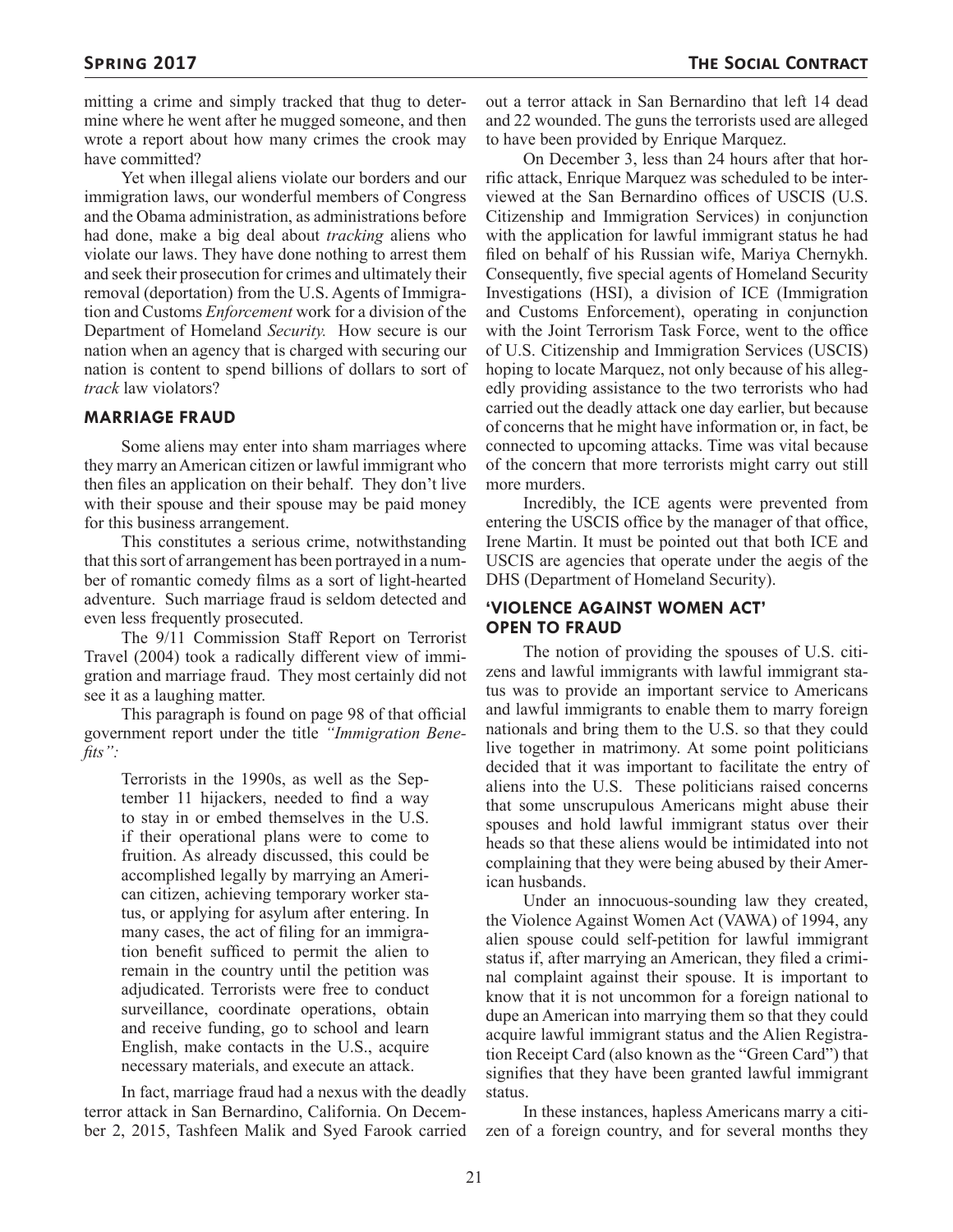mitting a crime and simply tracked that thug to determine where he went after he mugged someone, and then wrote a report about how many crimes the crook may have committed?

Yet when illegal aliens violate our borders and our immigration laws, our wonderful members of Congress and the Obama administration, as administrations before had done, make a big deal about *tracking* aliens who violate our laws. They have done nothing to arrest them and seek their prosecution for crimes and ultimately their removal (deportation) from the U.S. Agents of Immigration and Customs *Enforcement* work for a division of the Department of Homeland *Security.* How secure is our nation when an agency that is charged with securing our nation is content to spend billions of dollars to sort of *track* law violators?

#### **MARRIAGE FRAUD**

Some aliens may enter into sham marriages where they marry an American citizen or lawful immigrant who then files an application on their behalf. They don't live with their spouse and their spouse may be paid money for this business arrangement.

This constitutes a serious crime, notwithstanding that this sort of arrangement has been portrayed in a number of romantic comedy films as a sort of light-hearted adventure. Such marriage fraud is seldom detected and even less frequently prosecuted.

The 9/11 Commission Staff Report on Terrorist Travel (2004) took a radically different view of immigration and marriage fraud. They most certainly did not see it as a laughing matter.

This paragraph is found on page 98 of that official government report under the title *"Immigration Benefits":*

> Terrorists in the 1990s, as well as the September 11 hijackers, needed to find a way to stay in or embed themselves in the U.S. if their operational plans were to come to fruition. As already discussed, this could be accomplished legally by marrying an American citizen, achieving temporary worker status, or applying for asylum after entering. In many cases, the act of filing for an immigration benefit sufficed to permit the alien to remain in the country until the petition was adjudicated. Terrorists were free to conduct surveillance, coordinate operations, obtain and receive funding, go to school and learn English, make contacts in the U.S., acquire necessary materials, and execute an attack.

In fact, marriage fraud had a nexus with the deadly terror attack in San Bernardino, California. On December 2, 2015, Tashfeen Malik and Syed Farook carried

out a terror attack in San Bernardino that left 14 dead and 22 wounded. The guns the terrorists used are alleged to have been provided by Enrique Marquez.

On December 3, less than 24 hours after that horrific attack, Enrique Marquez was scheduled to be interviewed at the San Bernardino offices of USCIS (U.S. Citizenship and Immigration Services) in conjunction with the application for lawful immigrant status he had filed on behalf of his Russian wife, Mariya Chernykh. Consequently, five special agents of Homeland Security Investigations (HSI), a division of ICE (Immigration and Customs Enforcement), operating in conjunction with the Joint Terrorism Task Force, went to the office of U.S. Citizenship and Immigration Services (USCIS) hoping to locate Marquez, not only because of his allegedly providing assistance to the two terrorists who had carried out the deadly attack one day earlier, but because of concerns that he might have information or, in fact, be connected to upcoming attacks. Time was vital because of the concern that more terrorists might carry out still more murders.

Incredibly, the ICE agents were prevented from entering the USCIS office by the manager of that office, Irene Martin. It must be pointed out that both ICE and USCIS are agencies that operate under the aegis of the DHS (Department of Homeland Security).

#### **'VIOLENCE AGAINST WOMEN ACT' OPEN TO FRAUD**

The notion of providing the spouses of U.S. citizens and lawful immigrants with lawful immigrant status was to provide an important service to Americans and lawful immigrants to enable them to marry foreign nationals and bring them to the U.S. so that they could live together in matrimony. At some point politicians decided that it was important to facilitate the entry of aliens into the U.S. These politicians raised concerns that some unscrupulous Americans might abuse their spouses and hold lawful immigrant status over their heads so that these aliens would be intimidated into not complaining that they were being abused by their American husbands.

Under an innocuous-sounding law they created, the Violence Against Women Act (VAWA) of 1994, any alien spouse could self-petition for lawful immigrant status if, after marrying an American, they filed a criminal complaint against their spouse. It is important to know that it is not uncommon for a foreign national to dupe an American into marrying them so that they could acquire lawful immigrant status and the Alien Registration Receipt Card (also known as the "Green Card") that signifies that they have been granted lawful immigrant status.

In these instances, hapless Americans marry a citizen of a foreign country, and for several months they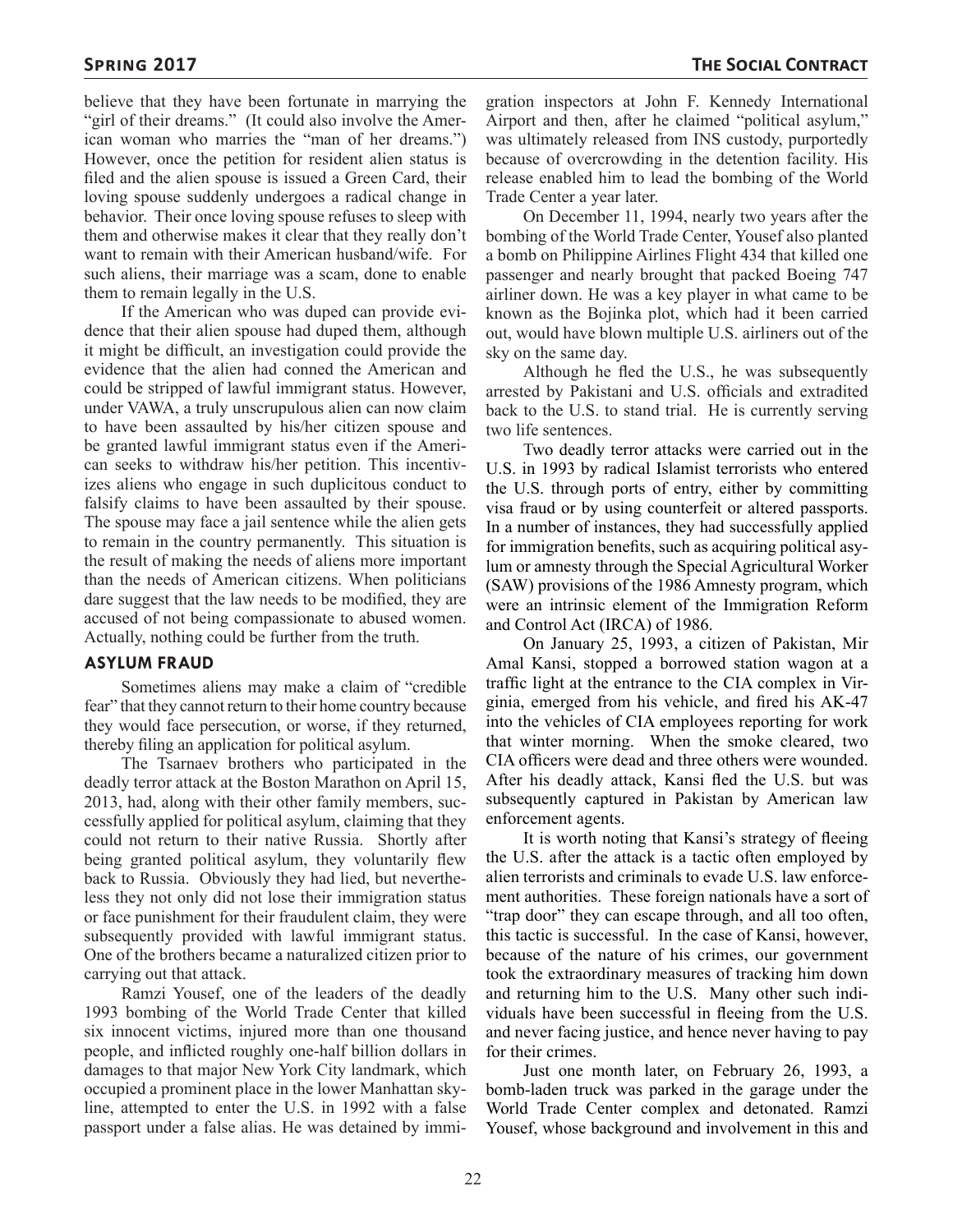believe that they have been fortunate in marrying the "girl of their dreams." (It could also involve the American woman who marries the "man of her dreams.") However, once the petition for resident alien status is filed and the alien spouse is issued a Green Card, their loving spouse suddenly undergoes a radical change in behavior. Their once loving spouse refuses to sleep with them and otherwise makes it clear that they really don't want to remain with their American husband/wife. For such aliens, their marriage was a scam, done to enable them to remain legally in the U.S.

If the American who was duped can provide evidence that their alien spouse had duped them, although it might be difficult, an investigation could provide the evidence that the alien had conned the American and could be stripped of lawful immigrant status. However, under VAWA, a truly unscrupulous alien can now claim to have been assaulted by his/her citizen spouse and be granted lawful immigrant status even if the American seeks to withdraw his/her petition. This incentivizes aliens who engage in such duplicitous conduct to falsify claims to have been assaulted by their spouse. The spouse may face a jail sentence while the alien gets to remain in the country permanently. This situation is the result of making the needs of aliens more important than the needs of American citizens. When politicians dare suggest that the law needs to be modified, they are accused of not being compassionate to abused women. Actually, nothing could be further from the truth.

#### **ASYLUM FRAUD**

Sometimes aliens may make a claim of "credible fear" that they cannot return to their home country because they would face persecution, or worse, if they returned, thereby filing an application for political asylum.

The Tsarnaev brothers who participated in the deadly terror attack at the Boston Marathon on April 15, 2013, had, along with their other family members, successfully applied for political asylum, claiming that they could not return to their native Russia. Shortly after being granted political asylum, they voluntarily flew back to Russia. Obviously they had lied, but nevertheless they not only did not lose their immigration status or face punishment for their fraudulent claim, they were subsequently provided with lawful immigrant status. One of the brothers became a naturalized citizen prior to carrying out that attack.

Ramzi Yousef, one of the leaders of the deadly 1993 bombing of the World Trade Center that killed six innocent victims, injured more than one thousand people, and inflicted roughly one-half billion dollars in damages to that major New York City landmark, which occupied a prominent place in the lower Manhattan skyline, attempted to enter the U.S. in 1992 with a false passport under a false alias. He was detained by immigration inspectors at John F. Kennedy International Airport and then, after he claimed "political asylum," was ultimately released from INS custody, purportedly because of overcrowding in the detention facility. His release enabled him to lead the bombing of the World Trade Center a year later.

On December 11, 1994, nearly two years after the bombing of the World Trade Center, Yousef also planted a bomb on Philippine Airlines Flight 434 that killed one passenger and nearly brought that packed Boeing 747 airliner down. He was a key player in what came to be known as the Bojinka plot, which had it been carried out, would have blown multiple U.S. airliners out of the sky on the same day.

Although he fled the U.S., he was subsequently arrested by Pakistani and U.S. officials and extradited back to the U.S. to stand trial. He is currently serving two life sentences.

Two deadly terror attacks were carried out in the U.S. in 1993 by radical Islamist terrorists who entered the U.S. through ports of entry, either by committing visa fraud or by using counterfeit or altered passports. In a number of instances, they had successfully applied for immigration benefits, such as acquiring political asylum or amnesty through the Special Agricultural Worker (SAW) provisions of the 1986 Amnesty program, which were an intrinsic element of the Immigration Reform and Control Act (IRCA) of 1986.

On January 25, 1993, a citizen of Pakistan, Mir Amal Kansi, stopped a borrowed station wagon at a traffic light at the entrance to the CIA complex in Virginia, emerged from his vehicle, and fired his AK-47 into the vehicles of CIA employees reporting for work that winter morning. When the smoke cleared, two CIA officers were dead and three others were wounded. After his deadly attack, Kansi fled the U.S. but was subsequently captured in Pakistan by American law enforcement agents.

It is worth noting that Kansi's strategy of fleeing the U.S. after the attack is a tactic often employed by alien terrorists and criminals to evade U.S. law enforcement authorities. These foreign nationals have a sort of "trap door" they can escape through, and all too often, this tactic is successful. In the case of Kansi, however, because of the nature of his crimes, our government took the extraordinary measures of tracking him down and returning him to the U.S. Many other such individuals have been successful in fleeing from the U.S. and never facing justice, and hence never having to pay for their crimes.

Just one month later, on February 26, 1993, a bomb-laden truck was parked in the garage under the World Trade Center complex and detonated. Ramzi Yousef, whose background and involvement in this and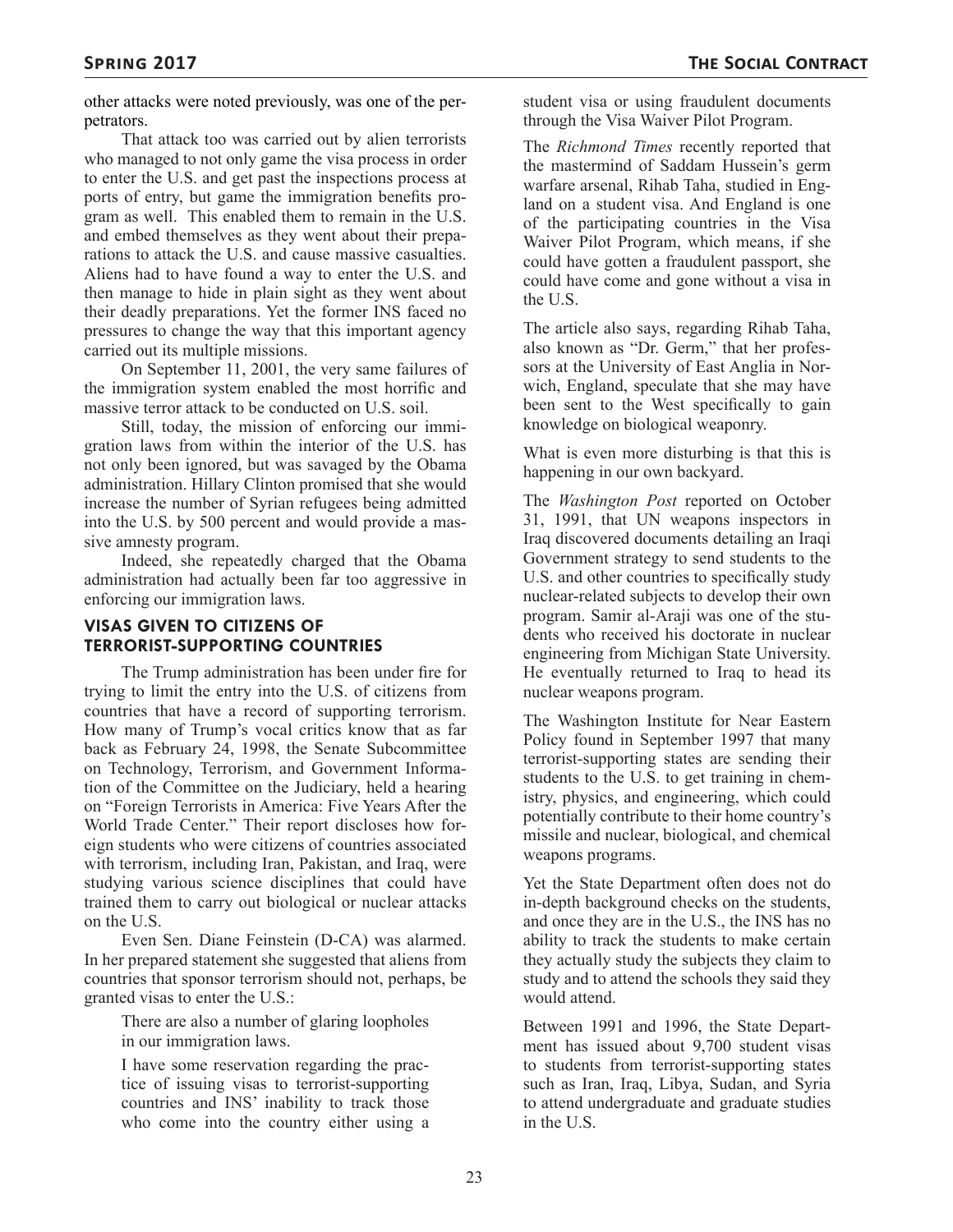other attacks were noted previously, was one of the perpetrators.

That attack too was carried out by alien terrorists who managed to not only game the visa process in order to enter the U.S. and get past the inspections process at ports of entry, but game the immigration benefits program as well. This enabled them to remain in the U.S. and embed themselves as they went about their preparations to attack the U.S. and cause massive casualties. Aliens had to have found a way to enter the U.S. and then manage to hide in plain sight as they went about their deadly preparations. Yet the former INS faced no pressures to change the way that this important agency carried out its multiple missions.

On September 11, 2001, the very same failures of the immigration system enabled the most horrific and massive terror attack to be conducted on U.S. soil.

Still, today, the mission of enforcing our immigration laws from within the interior of the U.S. has not only been ignored, but was savaged by the Obama administration. Hillary Clinton promised that she would increase the number of Syrian refugees being admitted into the U.S. by 500 percent and would provide a massive amnesty program.

Indeed, she repeatedly charged that the Obama administration had actually been far too aggressive in enforcing our immigration laws.

### **VISAS GIVEN TO CITIZENS OF TERRORIST-SUPPORTING COUNTRIES**

The Trump administration has been under fire for trying to limit the entry into the U.S. of citizens from countries that have a record of supporting terrorism. How many of Trump's vocal critics know that as far back as February 24, 1998, the Senate Subcommittee on Technology, Terrorism, and Government Information of the Committee on the Judiciary, held a hearing on "Foreign Terrorists in America: Five Years After the World Trade Center." Their report discloses how foreign students who were citizens of countries associated with terrorism, including Iran, Pakistan, and Iraq, were studying various science disciplines that could have trained them to carry out biological or nuclear attacks on the U.S.

Even Sen. Diane Feinstein (D-CA) was alarmed. In her prepared statement she suggested that aliens from countries that sponsor terrorism should not, perhaps, be granted visas to enter the U.S.:

There are also a number of glaring loopholes in our immigration laws.

I have some reservation regarding the practice of issuing visas to terrorist-supporting countries and INS' inability to track those who come into the country either using a

student visa or using fraudulent documents through the Visa Waiver Pilot Program.

The *Richmond Times* recently reported that the mastermind of Saddam Hussein's germ warfare arsenal, Rihab Taha, studied in England on a student visa. And England is one of the participating countries in the Visa Waiver Pilot Program, which means, if she could have gotten a fraudulent passport, she could have come and gone without a visa in the U.S.

The article also says, regarding Rihab Taha, also known as "Dr. Germ," that her professors at the University of East Anglia in Norwich, England, speculate that she may have been sent to the West specifically to gain knowledge on biological weaponry.

What is even more disturbing is that this is happening in our own backyard.

The *Washington Post* reported on October 31, 1991, that UN weapons inspectors in Iraq discovered documents detailing an Iraqi Government strategy to send students to the U.S. and other countries to specifically study nuclear-related subjects to develop their own program. Samir al-Araji was one of the students who received his doctorate in nuclear engineering from Michigan State University. He eventually returned to Iraq to head its nuclear weapons program.

The Washington Institute for Near Eastern Policy found in September 1997 that many terrorist-supporting states are sending their students to the U.S. to get training in chemistry, physics, and engineering, which could potentially contribute to their home country's missile and nuclear, biological, and chemical weapons programs.

Yet the State Department often does not do in-depth background checks on the students, and once they are in the U.S., the INS has no ability to track the students to make certain they actually study the subjects they claim to study and to attend the schools they said they would attend.

Between 1991 and 1996, the State Department has issued about 9,700 student visas to students from terrorist-supporting states such as Iran, Iraq, Libya, Sudan, and Syria to attend undergraduate and graduate studies in the U.S.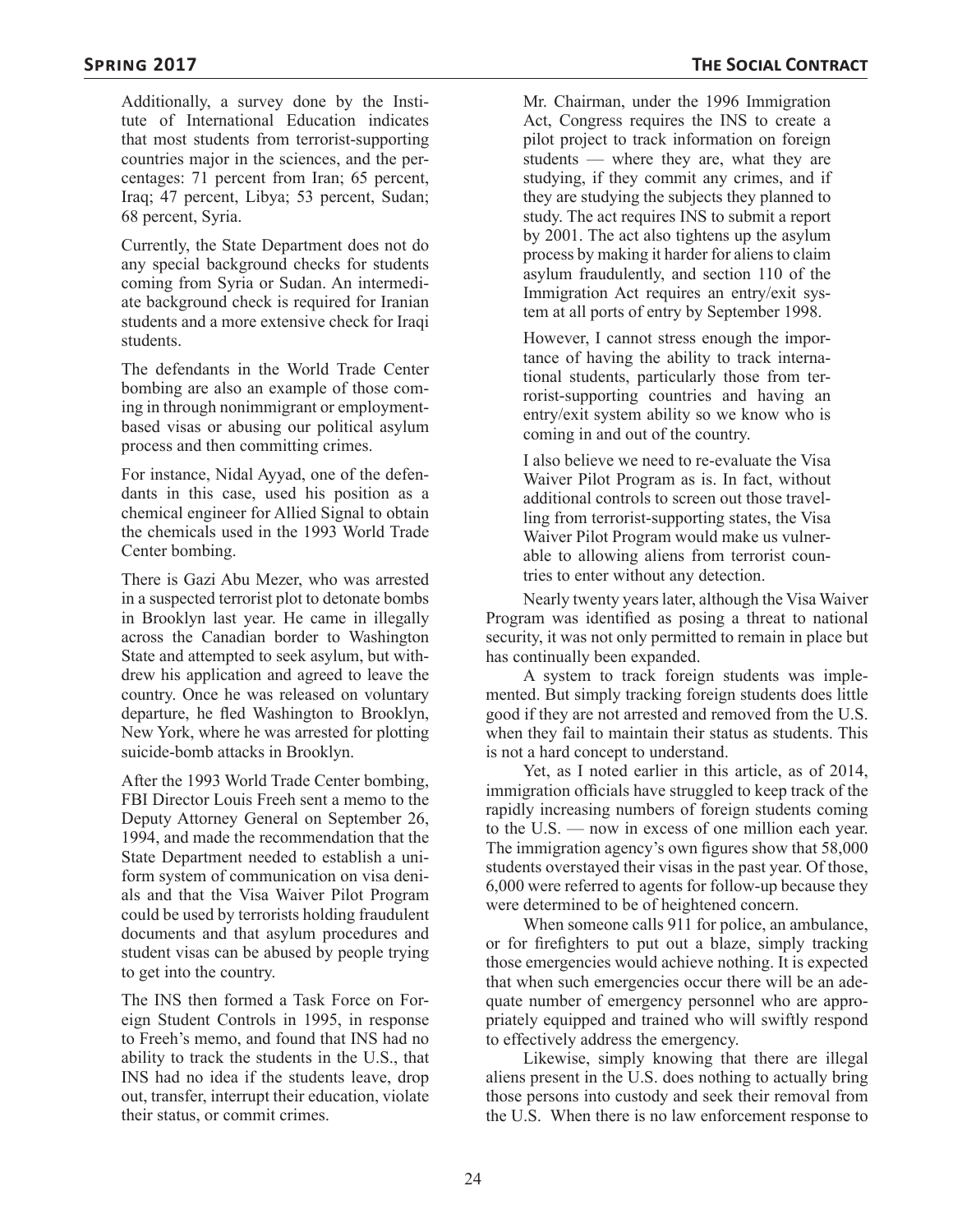Additionally, a survey done by the Institute of International Education indicates that most students from terrorist-supporting countries major in the sciences, and the percentages: 71 percent from Iran; 65 percent, Iraq; 47 percent, Libya; 53 percent, Sudan; 68 percent, Syria.

Currently, the State Department does not do any special background checks for students coming from Syria or Sudan. An intermediate background check is required for Iranian students and a more extensive check for Iraqi students.

The defendants in the World Trade Center bombing are also an example of those coming in through nonimmigrant or employmentbased visas or abusing our political asylum process and then committing crimes.

For instance, Nidal Ayyad, one of the defendants in this case, used his position as a chemical engineer for Allied Signal to obtain the chemicals used in the 1993 World Trade Center bombing.

There is Gazi Abu Mezer, who was arrested in a suspected terrorist plot to detonate bombs in Brooklyn last year. He came in illegally across the Canadian border to Washington State and attempted to seek asylum, but withdrew his application and agreed to leave the country. Once he was released on voluntary departure, he fled Washington to Brooklyn, New York, where he was arrested for plotting suicide-bomb attacks in Brooklyn.

After the 1993 World Trade Center bombing, FBI Director Louis Freeh sent a memo to the Deputy Attorney General on September 26, 1994, and made the recommendation that the State Department needed to establish a uniform system of communication on visa denials and that the Visa Waiver Pilot Program could be used by terrorists holding fraudulent documents and that asylum procedures and student visas can be abused by people trying to get into the country.

The INS then formed a Task Force on Foreign Student Controls in 1995, in response to Freeh's memo, and found that INS had no ability to track the students in the U.S., that INS had no idea if the students leave, drop out, transfer, interrupt their education, violate their status, or commit crimes.

Mr. Chairman, under the 1996 Immigration Act, Congress requires the INS to create a pilot project to track information on foreign students — where they are, what they are studying, if they commit any crimes, and if they are studying the subjects they planned to study. The act requires INS to submit a report by 2001. The act also tightens up the asylum process by making it harder for aliens to claim asylum fraudulently, and section 110 of the Immigration Act requires an entry/exit system at all ports of entry by September 1998.

However, I cannot stress enough the importance of having the ability to track international students, particularly those from terrorist-supporting countries and having an entry/exit system ability so we know who is coming in and out of the country.

I also believe we need to re-evaluate the Visa Waiver Pilot Program as is. In fact, without additional controls to screen out those travelling from terrorist-supporting states, the Visa Waiver Pilot Program would make us vulnerable to allowing aliens from terrorist countries to enter without any detection.

Nearly twenty years later, although the Visa Waiver Program was identified as posing a threat to national security, it was not only permitted to remain in place but has continually been expanded.

A system to track foreign students was implemented. But simply tracking foreign students does little good if they are not arrested and removed from the U.S. when they fail to maintain their status as students. This is not a hard concept to understand.

Yet, as I noted earlier in this article, as of 2014, immigration officials have struggled to keep track of the rapidly increasing numbers of foreign students coming to the U.S. — now in excess of one million each year. The immigration agency's own figures show that 58,000 students overstayed their visas in the past year. Of those, 6,000 were referred to agents for follow-up because they were determined to be of heightened concern.

When someone calls 911 for police, an ambulance, or for firefighters to put out a blaze, simply tracking those emergencies would achieve nothing. It is expected that when such emergencies occur there will be an adequate number of emergency personnel who are appropriately equipped and trained who will swiftly respond to effectively address the emergency.

Likewise, simply knowing that there are illegal aliens present in the U.S. does nothing to actually bring those persons into custody and seek their removal from the U.S. When there is no law enforcement response to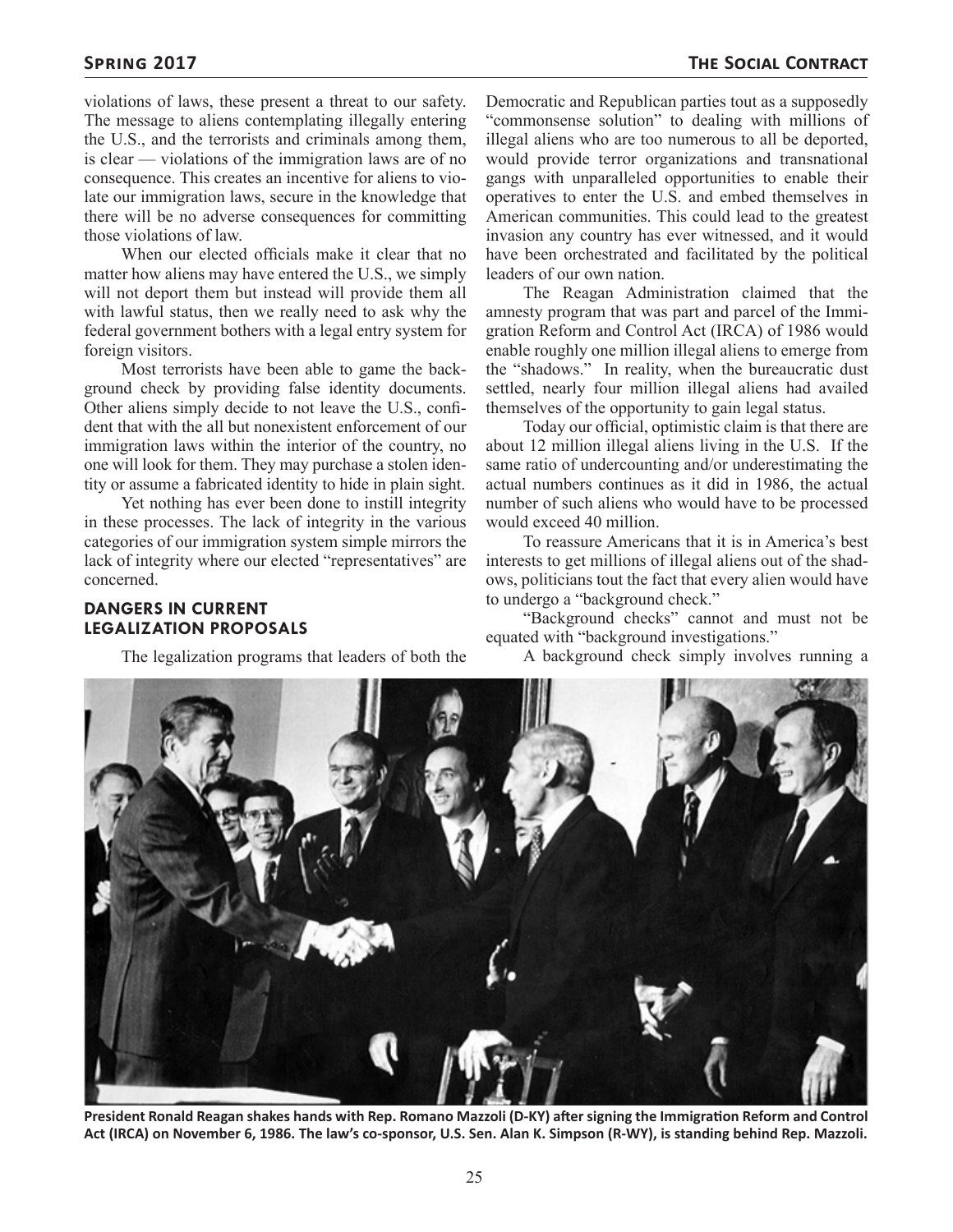violations of laws, these present a threat to our safety. The message to aliens contemplating illegally entering the U.S., and the terrorists and criminals among them, is clear — violations of the immigration laws are of no consequence. This creates an incentive for aliens to violate our immigration laws, secure in the knowledge that there will be no adverse consequences for committing those violations of law.

When our elected officials make it clear that no matter how aliens may have entered the U.S., we simply will not deport them but instead will provide them all with lawful status, then we really need to ask why the federal government bothers with a legal entry system for foreign visitors.

Most terrorists have been able to game the background check by providing false identity documents. Other aliens simply decide to not leave the U.S., confident that with the all but nonexistent enforcement of our immigration laws within the interior of the country, no one will look for them. They may purchase a stolen identity or assume a fabricated identity to hide in plain sight.

Yet nothing has ever been done to instill integrity in these processes. The lack of integrity in the various categories of our immigration system simple mirrors the lack of integrity where our elected "representatives" are concerned.

#### **DANGERS IN CURRENT LEGALIZATION PROPOSALS**

The legalization programs that leaders of both the

Democratic and Republican parties tout as a supposedly "commonsense solution" to dealing with millions of illegal aliens who are too numerous to all be deported, would provide terror organizations and transnational gangs with unparalleled opportunities to enable their operatives to enter the U.S. and embed themselves in American communities. This could lead to the greatest invasion any country has ever witnessed, and it would have been orchestrated and facilitated by the political leaders of our own nation.

The Reagan Administration claimed that the amnesty program that was part and parcel of the Immigration Reform and Control Act (IRCA) of 1986 would enable roughly one million illegal aliens to emerge from the "shadows." In reality, when the bureaucratic dust settled, nearly four million illegal aliens had availed themselves of the opportunity to gain legal status.

Today our official, optimistic claim is that there are about 12 million illegal aliens living in the U.S. If the same ratio of undercounting and/or underestimating the actual numbers continues as it did in 1986, the actual number of such aliens who would have to be processed would exceed 40 million.

To reassure Americans that it is in America's best interests to get millions of illegal aliens out of the shadows, politicians tout the fact that every alien would have to undergo a "background check."

"Background checks" cannot and must not be equated with "background investigations."

A background check simply involves running a



**President Ronald Reagan shakes hands with Rep. Romano Mazzoli (D-KY) after signing the Immigration Reform and Control Act (IRCA) on November 6, 1986. The law's co-sponsor, U.S. Sen. Alan K. Simpson (R-WY), is standing behind Rep. Mazzoli.**